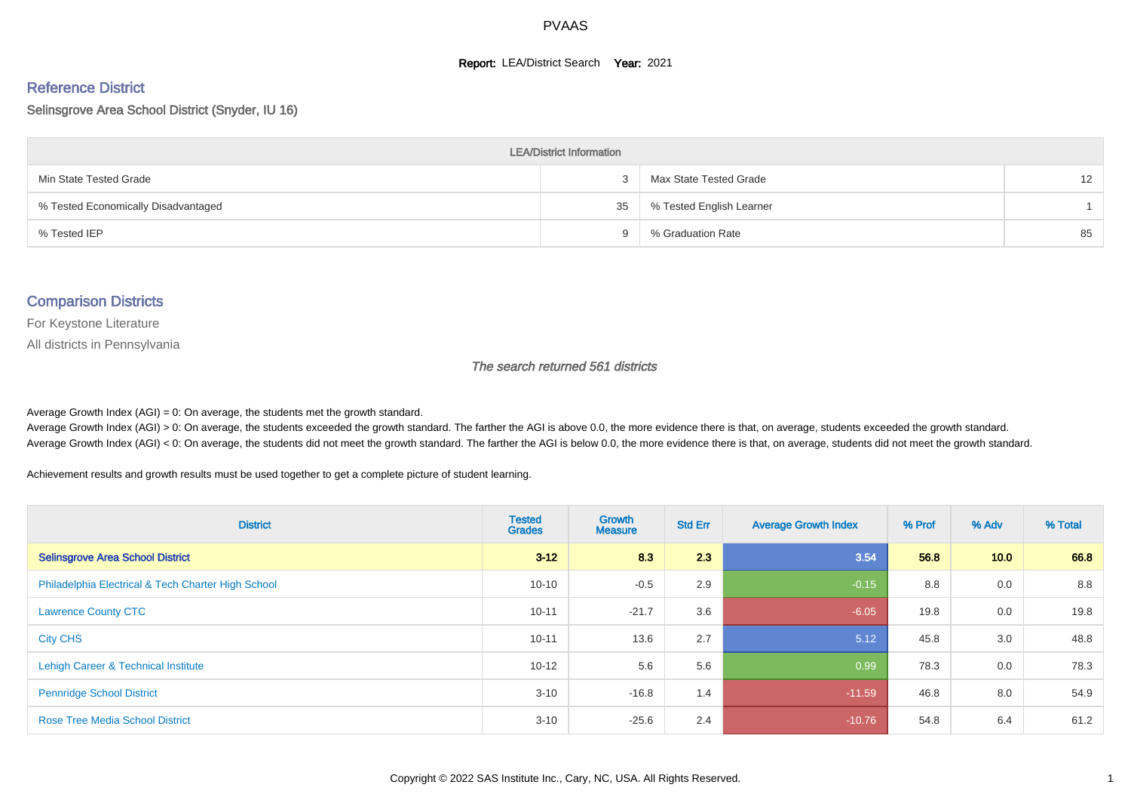#### **Report: LEA/District Search Year: 2021**

# Reference District

#### Selinsgrove Area School District (Snyder, IU 16)

| <b>LEA/District Information</b>     |    |                          |                   |  |  |  |  |  |  |  |
|-------------------------------------|----|--------------------------|-------------------|--|--|--|--|--|--|--|
| Min State Tested Grade              | 3  | Max State Tested Grade   | $12 \overline{ }$ |  |  |  |  |  |  |  |
| % Tested Economically Disadvantaged | 35 | % Tested English Learner |                   |  |  |  |  |  |  |  |
| % Tested IEP                        | a  | % Graduation Rate        | 85                |  |  |  |  |  |  |  |

#### Comparison Districts

For Keystone Literature

All districts in Pennsylvania

The search returned 561 districts

Average Growth Index  $(AGI) = 0$ : On average, the students met the growth standard.

Average Growth Index (AGI) > 0: On average, the students exceeded the growth standard. The farther the AGI is above 0.0, the more evidence there is that, on average, students exceeded the growth standard. Average Growth Index (AGI) < 0: On average, the students did not meet the growth standard. The farther the AGI is below 0.0, the more evidence there is that, on average, students did not meet the growth standard.

Achievement results and growth results must be used together to get a complete picture of student learning.

| <b>District</b>                                    | <b>Tested</b><br><b>Grades</b> | Growth<br><b>Measure</b> | <b>Std Err</b> | <b>Average Growth Index</b> | % Prof | % Adv | % Total |
|----------------------------------------------------|--------------------------------|--------------------------|----------------|-----------------------------|--------|-------|---------|
| <b>Selinsgrove Area School District</b>            | $3 - 12$                       | 8.3                      | 2.3            | 3.54                        | 56.8   | 10.0  | 66.8    |
| Philadelphia Electrical & Tech Charter High School | $10 - 10$                      | $-0.5$                   | 2.9            | $-0.15$                     | 8.8    | 0.0   | 8.8     |
| <b>Lawrence County CTC</b>                         | $10 - 11$                      | $-21.7$                  | 3.6            | $-6.05$                     | 19.8   | 0.0   | 19.8    |
| <b>City CHS</b>                                    | $10 - 11$                      | 13.6                     | 2.7            | 5.12                        | 45.8   | 3.0   | 48.8    |
| Lehigh Career & Technical Institute                | $10 - 12$                      | 5.6                      | 5.6            | 0.99                        | 78.3   | 0.0   | 78.3    |
| <b>Pennridge School District</b>                   | $3 - 10$                       | $-16.8$                  | 1.4            | $-11.59$                    | 46.8   | 8.0   | 54.9    |
| <b>Rose Tree Media School District</b>             | $3 - 10$                       | $-25.6$                  | 2.4            | $-10.76$                    | 54.8   | 6.4   | 61.2    |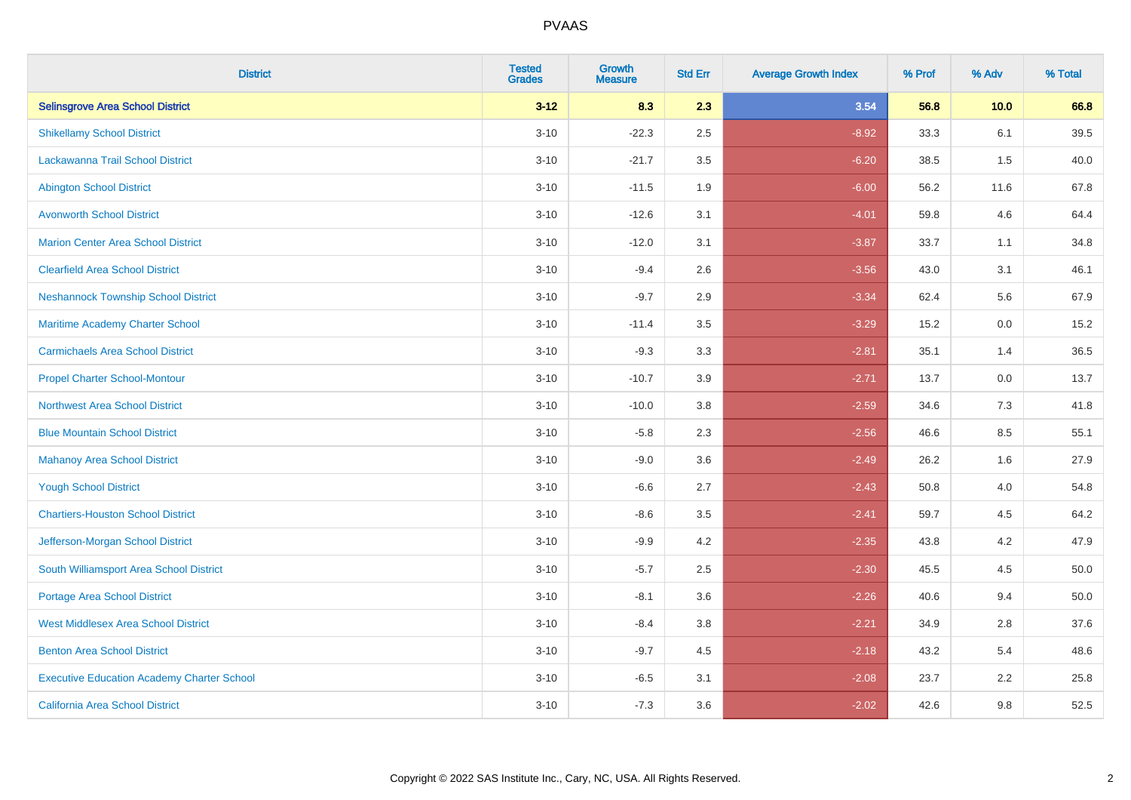| <b>District</b>                                   | <b>Tested</b><br><b>Grades</b> | <b>Growth</b><br><b>Measure</b> | <b>Std Err</b> | <b>Average Growth Index</b> | % Prof | % Adv   | % Total |
|---------------------------------------------------|--------------------------------|---------------------------------|----------------|-----------------------------|--------|---------|---------|
| <b>Selinsgrove Area School District</b>           | $3 - 12$                       | 8.3                             | 2.3            | 3.54                        | 56.8   | 10.0    | 66.8    |
| <b>Shikellamy School District</b>                 | $3 - 10$                       | $-22.3$                         | 2.5            | $-8.92$                     | 33.3   | 6.1     | 39.5    |
| <b>Lackawanna Trail School District</b>           | $3 - 10$                       | $-21.7$                         | 3.5            | $-6.20$                     | 38.5   | 1.5     | 40.0    |
| <b>Abington School District</b>                   | $3 - 10$                       | $-11.5$                         | 1.9            | $-6.00$                     | 56.2   | 11.6    | 67.8    |
| <b>Avonworth School District</b>                  | $3 - 10$                       | $-12.6$                         | 3.1            | $-4.01$                     | 59.8   | 4.6     | 64.4    |
| <b>Marion Center Area School District</b>         | $3 - 10$                       | $-12.0$                         | 3.1            | $-3.87$                     | 33.7   | 1.1     | 34.8    |
| <b>Clearfield Area School District</b>            | $3 - 10$                       | $-9.4$                          | 2.6            | $-3.56$                     | 43.0   | 3.1     | 46.1    |
| <b>Neshannock Township School District</b>        | $3 - 10$                       | $-9.7$                          | 2.9            | $-3.34$                     | 62.4   | 5.6     | 67.9    |
| Maritime Academy Charter School                   | $3 - 10$                       | $-11.4$                         | 3.5            | $-3.29$                     | 15.2   | 0.0     | 15.2    |
| <b>Carmichaels Area School District</b>           | $3 - 10$                       | $-9.3$                          | 3.3            | $-2.81$                     | 35.1   | 1.4     | 36.5    |
| <b>Propel Charter School-Montour</b>              | $3 - 10$                       | $-10.7$                         | 3.9            | $-2.71$                     | 13.7   | 0.0     | 13.7    |
| <b>Northwest Area School District</b>             | $3 - 10$                       | $-10.0$                         | 3.8            | $-2.59$                     | 34.6   | 7.3     | 41.8    |
| <b>Blue Mountain School District</b>              | $3 - 10$                       | $-5.8$                          | 2.3            | $-2.56$                     | 46.6   | $8.5\,$ | 55.1    |
| <b>Mahanoy Area School District</b>               | $3 - 10$                       | $-9.0$                          | 3.6            | $-2.49$                     | 26.2   | 1.6     | 27.9    |
| <b>Yough School District</b>                      | $3 - 10$                       | $-6.6$                          | 2.7            | $-2.43$                     | 50.8   | 4.0     | 54.8    |
| <b>Chartiers-Houston School District</b>          | $3 - 10$                       | $-8.6$                          | 3.5            | $-2.41$                     | 59.7   | 4.5     | 64.2    |
| Jefferson-Morgan School District                  | $3 - 10$                       | $-9.9$                          | 4.2            | $-2.35$                     | 43.8   | 4.2     | 47.9    |
| South Williamsport Area School District           | $3 - 10$                       | $-5.7$                          | 2.5            | $-2.30$                     | 45.5   | 4.5     | 50.0    |
| Portage Area School District                      | $3 - 10$                       | $-8.1$                          | 3.6            | $-2.26$                     | 40.6   | 9.4     | 50.0    |
| <b>West Middlesex Area School District</b>        | $3 - 10$                       | $-8.4$                          | 3.8            | $-2.21$                     | 34.9   | 2.8     | 37.6    |
| <b>Benton Area School District</b>                | $3 - 10$                       | $-9.7$                          | 4.5            | $-2.18$                     | 43.2   | 5.4     | 48.6    |
| <b>Executive Education Academy Charter School</b> | $3 - 10$                       | $-6.5$                          | 3.1            | $-2.08$                     | 23.7   | 2.2     | 25.8    |
| California Area School District                   | $3 - 10$                       | $-7.3$                          | 3.6            | $-2.02$                     | 42.6   | 9.8     | 52.5    |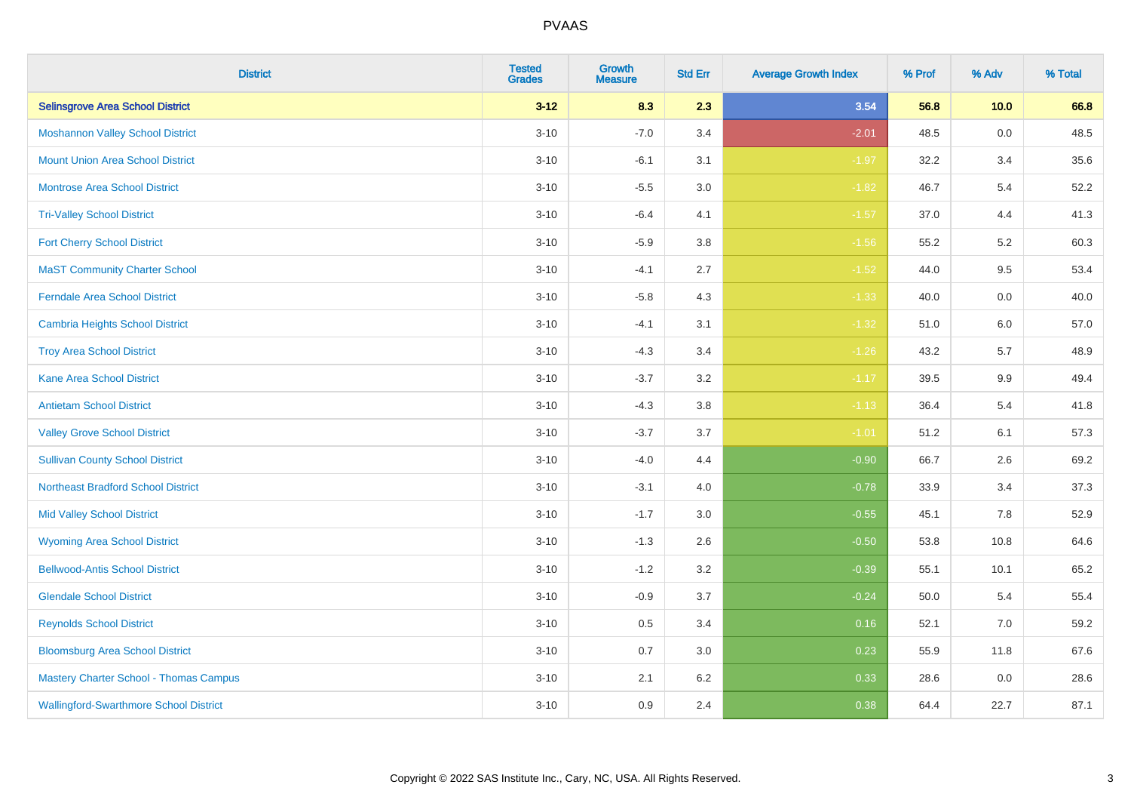| <b>District</b>                               | <b>Tested</b><br><b>Grades</b> | <b>Growth</b><br><b>Measure</b> | <b>Std Err</b> | <b>Average Growth Index</b> | % Prof | % Adv   | % Total |
|-----------------------------------------------|--------------------------------|---------------------------------|----------------|-----------------------------|--------|---------|---------|
| <b>Selinsgrove Area School District</b>       | $3 - 12$                       | 8.3                             | 2.3            | 3.54                        | 56.8   | 10.0    | 66.8    |
| <b>Moshannon Valley School District</b>       | $3 - 10$                       | $-7.0$                          | 3.4            | $-2.01$                     | 48.5   | 0.0     | 48.5    |
| <b>Mount Union Area School District</b>       | $3 - 10$                       | $-6.1$                          | 3.1            | $-1.97$                     | 32.2   | 3.4     | 35.6    |
| <b>Montrose Area School District</b>          | $3 - 10$                       | $-5.5$                          | 3.0            | $-1.82$                     | 46.7   | 5.4     | 52.2    |
| <b>Tri-Valley School District</b>             | $3 - 10$                       | $-6.4$                          | 4.1            | $-1.57$                     | 37.0   | 4.4     | 41.3    |
| <b>Fort Cherry School District</b>            | $3 - 10$                       | $-5.9$                          | 3.8            | $-1.56$                     | 55.2   | 5.2     | 60.3    |
| <b>MaST Community Charter School</b>          | $3 - 10$                       | $-4.1$                          | 2.7            | $-1.52$                     | 44.0   | 9.5     | 53.4    |
| <b>Ferndale Area School District</b>          | $3 - 10$                       | $-5.8$                          | 4.3            | $-1.33$                     | 40.0   | 0.0     | 40.0    |
| <b>Cambria Heights School District</b>        | $3 - 10$                       | $-4.1$                          | 3.1            | $-1.32$                     | 51.0   | 6.0     | 57.0    |
| <b>Troy Area School District</b>              | $3 - 10$                       | $-4.3$                          | 3.4            | $-1.26$                     | 43.2   | 5.7     | 48.9    |
| <b>Kane Area School District</b>              | $3 - 10$                       | $-3.7$                          | 3.2            | $-1.17$                     | 39.5   | 9.9     | 49.4    |
| <b>Antietam School District</b>               | $3 - 10$                       | $-4.3$                          | 3.8            | $-1.13$                     | 36.4   | 5.4     | 41.8    |
| <b>Valley Grove School District</b>           | $3 - 10$                       | $-3.7$                          | 3.7            | $-1.01$                     | 51.2   | 6.1     | 57.3    |
| <b>Sullivan County School District</b>        | $3 - 10$                       | $-4.0$                          | 4.4            | $-0.90$                     | 66.7   | 2.6     | 69.2    |
| <b>Northeast Bradford School District</b>     | $3 - 10$                       | $-3.1$                          | 4.0            | $-0.78$                     | 33.9   | 3.4     | 37.3    |
| <b>Mid Valley School District</b>             | $3 - 10$                       | $-1.7$                          | 3.0            | $-0.55$                     | 45.1   | $7.8\,$ | 52.9    |
| <b>Wyoming Area School District</b>           | $3 - 10$                       | $-1.3$                          | 2.6            | $-0.50$                     | 53.8   | 10.8    | 64.6    |
| <b>Bellwood-Antis School District</b>         | $3 - 10$                       | $-1.2$                          | 3.2            | $-0.39$                     | 55.1   | 10.1    | 65.2    |
| <b>Glendale School District</b>               | $3 - 10$                       | $-0.9$                          | 3.7            | $-0.24$                     | 50.0   | 5.4     | 55.4    |
| <b>Reynolds School District</b>               | $3 - 10$                       | 0.5                             | 3.4            | 0.16                        | 52.1   | 7.0     | 59.2    |
| <b>Bloomsburg Area School District</b>        | $3 - 10$                       | 0.7                             | 3.0            | 0.23                        | 55.9   | 11.8    | 67.6    |
| <b>Mastery Charter School - Thomas Campus</b> | $3 - 10$                       | 2.1                             | 6.2            | 0.33                        | 28.6   | 0.0     | 28.6    |
| <b>Wallingford-Swarthmore School District</b> | $3 - 10$                       | 0.9                             | 2.4            | 0.38                        | 64.4   | 22.7    | 87.1    |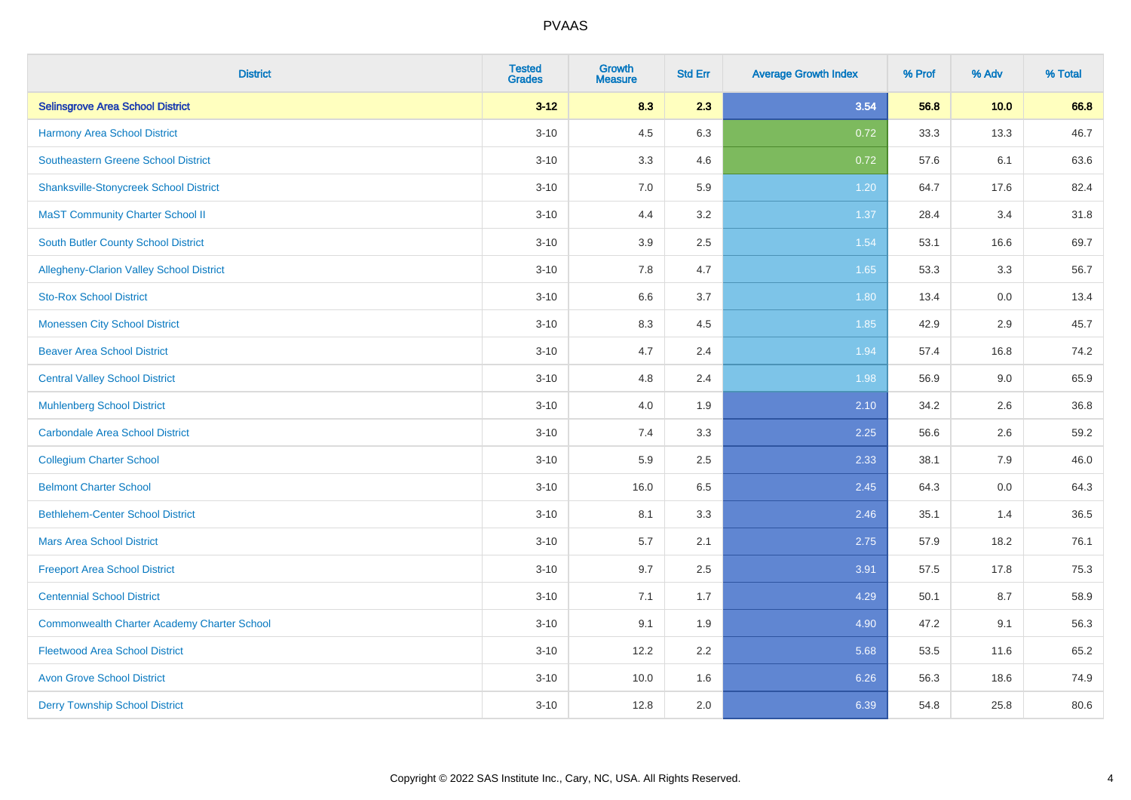| <b>District</b>                                    | <b>Tested</b><br><b>Grades</b> | <b>Growth</b><br><b>Measure</b> | <b>Std Err</b> | <b>Average Growth Index</b> | % Prof | % Adv | % Total |
|----------------------------------------------------|--------------------------------|---------------------------------|----------------|-----------------------------|--------|-------|---------|
| <b>Selinsgrove Area School District</b>            | $3 - 12$                       | 8.3                             | 2.3            | 3.54                        | 56.8   | 10.0  | 66.8    |
| Harmony Area School District                       | $3 - 10$                       | 4.5                             | 6.3            | 0.72                        | 33.3   | 13.3  | 46.7    |
| Southeastern Greene School District                | $3 - 10$                       | 3.3                             | 4.6            | 0.72                        | 57.6   | 6.1   | 63.6    |
| <b>Shanksville-Stonycreek School District</b>      | $3 - 10$                       | 7.0                             | 5.9            | 1.20                        | 64.7   | 17.6  | 82.4    |
| <b>MaST Community Charter School II</b>            | $3 - 10$                       | 4.4                             | 3.2            | 1.37                        | 28.4   | 3.4   | 31.8    |
| <b>South Butler County School District</b>         | $3 - 10$                       | 3.9                             | 2.5            | 1.54                        | 53.1   | 16.6  | 69.7    |
| Allegheny-Clarion Valley School District           | $3 - 10$                       | 7.8                             | 4.7            | 1.65                        | 53.3   | 3.3   | 56.7    |
| <b>Sto-Rox School District</b>                     | $3 - 10$                       | 6.6                             | 3.7            | 1.80                        | 13.4   | 0.0   | 13.4    |
| <b>Monessen City School District</b>               | $3 - 10$                       | 8.3                             | 4.5            | 1.85                        | 42.9   | 2.9   | 45.7    |
| <b>Beaver Area School District</b>                 | $3 - 10$                       | 4.7                             | 2.4            | 1.94                        | 57.4   | 16.8  | 74.2    |
| <b>Central Valley School District</b>              | $3 - 10$                       | 4.8                             | 2.4            | 1.98                        | 56.9   | 9.0   | 65.9    |
| <b>Muhlenberg School District</b>                  | $3 - 10$                       | 4.0                             | 1.9            | 2.10                        | 34.2   | 2.6   | 36.8    |
| Carbondale Area School District                    | $3 - 10$                       | 7.4                             | 3.3            | 2.25                        | 56.6   | 2.6   | 59.2    |
| <b>Collegium Charter School</b>                    | $3 - 10$                       | 5.9                             | 2.5            | 2.33                        | 38.1   | 7.9   | 46.0    |
| <b>Belmont Charter School</b>                      | $3 - 10$                       | 16.0                            | 6.5            | 2.45                        | 64.3   | 0.0   | 64.3    |
| <b>Bethlehem-Center School District</b>            | $3 - 10$                       | 8.1                             | 3.3            | 2.46                        | 35.1   | 1.4   | 36.5    |
| <b>Mars Area School District</b>                   | $3 - 10$                       | 5.7                             | 2.1            | 2.75                        | 57.9   | 18.2  | 76.1    |
| <b>Freeport Area School District</b>               | $3 - 10$                       | 9.7                             | 2.5            | 3.91                        | 57.5   | 17.8  | 75.3    |
| <b>Centennial School District</b>                  | $3 - 10$                       | 7.1                             | 1.7            | 4.29                        | 50.1   | 8.7   | 58.9    |
| <b>Commonwealth Charter Academy Charter School</b> | $3 - 10$                       | 9.1                             | 1.9            | 4.90                        | 47.2   | 9.1   | 56.3    |
| <b>Fleetwood Area School District</b>              | $3 - 10$                       | 12.2                            | 2.2            | 5.68                        | 53.5   | 11.6  | 65.2    |
| <b>Avon Grove School District</b>                  | $3 - 10$                       | 10.0                            | 1.6            | 6.26                        | 56.3   | 18.6  | 74.9    |
| <b>Derry Township School District</b>              | $3 - 10$                       | 12.8                            | 2.0            | 6.39                        | 54.8   | 25.8  | 80.6    |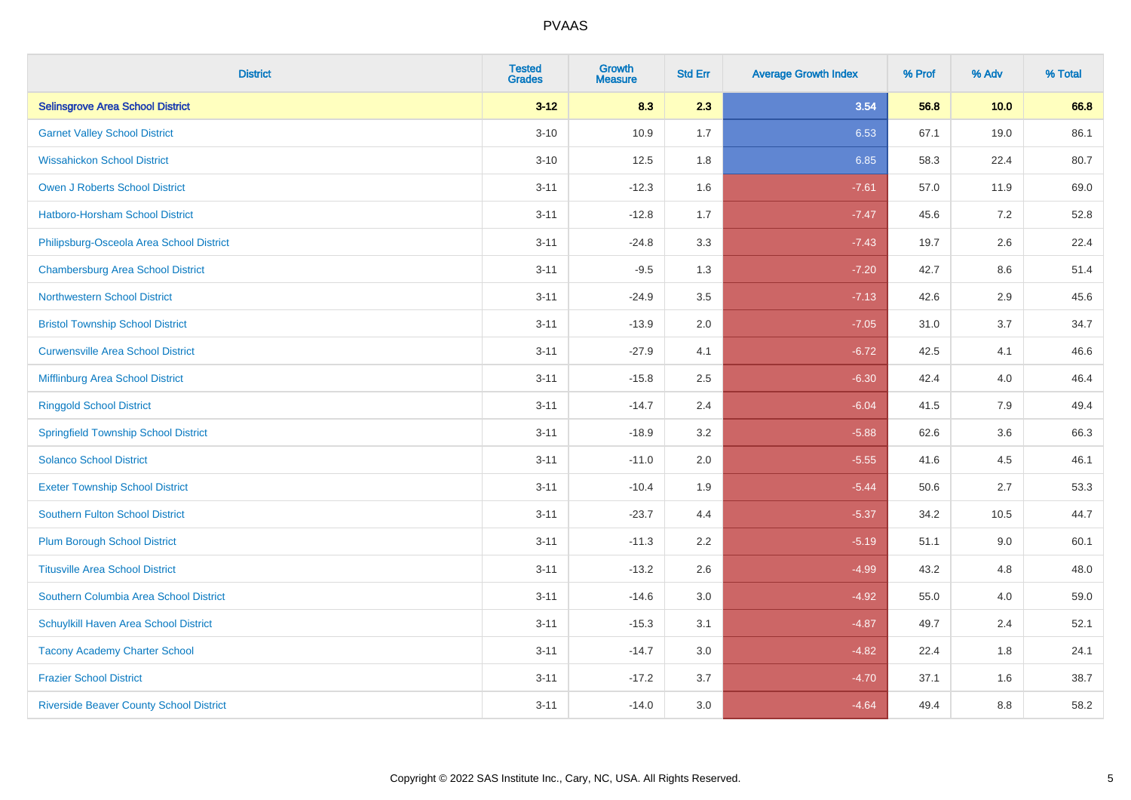| <b>District</b>                                | <b>Tested</b><br><b>Grades</b> | <b>Growth</b><br><b>Measure</b> | <b>Std Err</b> | <b>Average Growth Index</b> | % Prof | % Adv   | % Total |
|------------------------------------------------|--------------------------------|---------------------------------|----------------|-----------------------------|--------|---------|---------|
| <b>Selinsgrove Area School District</b>        | $3 - 12$                       | 8.3                             | 2.3            | 3.54                        | 56.8   | 10.0    | 66.8    |
| <b>Garnet Valley School District</b>           | $3 - 10$                       | 10.9                            | 1.7            | 6.53                        | 67.1   | 19.0    | 86.1    |
| <b>Wissahickon School District</b>             | $3 - 10$                       | 12.5                            | 1.8            | 6.85                        | 58.3   | 22.4    | 80.7    |
| <b>Owen J Roberts School District</b>          | $3 - 11$                       | $-12.3$                         | 1.6            | $-7.61$                     | 57.0   | 11.9    | 69.0    |
| Hatboro-Horsham School District                | $3 - 11$                       | $-12.8$                         | 1.7            | $-7.47$                     | 45.6   | 7.2     | 52.8    |
| Philipsburg-Osceola Area School District       | $3 - 11$                       | $-24.8$                         | 3.3            | $-7.43$                     | 19.7   | 2.6     | 22.4    |
| <b>Chambersburg Area School District</b>       | $3 - 11$                       | $-9.5$                          | 1.3            | $-7.20$                     | 42.7   | $8.6\,$ | 51.4    |
| <b>Northwestern School District</b>            | $3 - 11$                       | $-24.9$                         | 3.5            | $-7.13$                     | 42.6   | 2.9     | 45.6    |
| <b>Bristol Township School District</b>        | $3 - 11$                       | $-13.9$                         | 2.0            | $-7.05$                     | 31.0   | 3.7     | 34.7    |
| <b>Curwensville Area School District</b>       | $3 - 11$                       | $-27.9$                         | 4.1            | $-6.72$                     | 42.5   | 4.1     | 46.6    |
| Mifflinburg Area School District               | $3 - 11$                       | $-15.8$                         | 2.5            | $-6.30$                     | 42.4   | 4.0     | 46.4    |
| <b>Ringgold School District</b>                | $3 - 11$                       | $-14.7$                         | 2.4            | $-6.04$                     | 41.5   | 7.9     | 49.4    |
| <b>Springfield Township School District</b>    | $3 - 11$                       | $-18.9$                         | 3.2            | $-5.88$                     | 62.6   | 3.6     | 66.3    |
| <b>Solanco School District</b>                 | $3 - 11$                       | $-11.0$                         | 2.0            | $-5.55$                     | 41.6   | 4.5     | 46.1    |
| <b>Exeter Township School District</b>         | $3 - 11$                       | $-10.4$                         | 1.9            | $-5.44$                     | 50.6   | 2.7     | 53.3    |
| <b>Southern Fulton School District</b>         | $3 - 11$                       | $-23.7$                         | 4.4            | $-5.37$                     | 34.2   | 10.5    | 44.7    |
| <b>Plum Borough School District</b>            | $3 - 11$                       | $-11.3$                         | 2.2            | $-5.19$                     | 51.1   | 9.0     | 60.1    |
| <b>Titusville Area School District</b>         | $3 - 11$                       | $-13.2$                         | 2.6            | $-4.99$                     | 43.2   | 4.8     | 48.0    |
| Southern Columbia Area School District         | $3 - 11$                       | $-14.6$                         | 3.0            | $-4.92$                     | 55.0   | 4.0     | 59.0    |
| Schuylkill Haven Area School District          | $3 - 11$                       | $-15.3$                         | 3.1            | $-4.87$                     | 49.7   | 2.4     | 52.1    |
| <b>Tacony Academy Charter School</b>           | $3 - 11$                       | $-14.7$                         | 3.0            | $-4.82$                     | 22.4   | 1.8     | 24.1    |
| <b>Frazier School District</b>                 | $3 - 11$                       | $-17.2$                         | 3.7            | $-4.70$                     | 37.1   | 1.6     | 38.7    |
| <b>Riverside Beaver County School District</b> | $3 - 11$                       | $-14.0$                         | 3.0            | $-4.64$                     | 49.4   | 8.8     | 58.2    |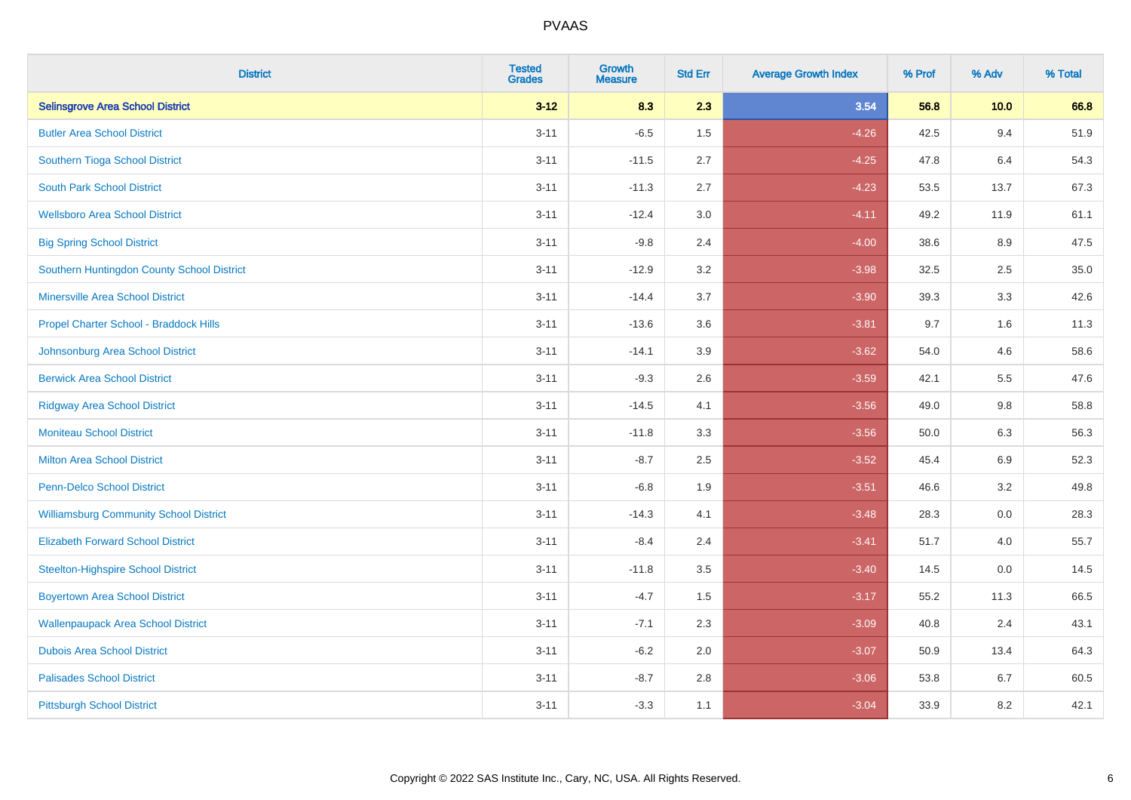| <b>District</b>                               | <b>Tested</b><br><b>Grades</b> | <b>Growth</b><br><b>Measure</b> | <b>Std Err</b> | <b>Average Growth Index</b> | % Prof | % Adv   | % Total |
|-----------------------------------------------|--------------------------------|---------------------------------|----------------|-----------------------------|--------|---------|---------|
| <b>Selinsgrove Area School District</b>       | $3 - 12$                       | 8.3                             | 2.3            | 3.54                        | 56.8   | 10.0    | 66.8    |
| <b>Butler Area School District</b>            | $3 - 11$                       | $-6.5$                          | 1.5            | $-4.26$                     | 42.5   | 9.4     | 51.9    |
| Southern Tioga School District                | $3 - 11$                       | $-11.5$                         | 2.7            | $-4.25$                     | 47.8   | 6.4     | 54.3    |
| <b>South Park School District</b>             | $3 - 11$                       | $-11.3$                         | 2.7            | $-4.23$                     | 53.5   | 13.7    | 67.3    |
| <b>Wellsboro Area School District</b>         | $3 - 11$                       | $-12.4$                         | 3.0            | $-4.11$                     | 49.2   | 11.9    | 61.1    |
| <b>Big Spring School District</b>             | $3 - 11$                       | $-9.8$                          | 2.4            | $-4.00$                     | 38.6   | 8.9     | 47.5    |
| Southern Huntingdon County School District    | $3 - 11$                       | $-12.9$                         | 3.2            | $-3.98$                     | 32.5   | 2.5     | 35.0    |
| <b>Minersville Area School District</b>       | $3 - 11$                       | $-14.4$                         | 3.7            | $-3.90$                     | 39.3   | 3.3     | 42.6    |
| Propel Charter School - Braddock Hills        | $3 - 11$                       | $-13.6$                         | 3.6            | $-3.81$                     | 9.7    | 1.6     | 11.3    |
| Johnsonburg Area School District              | $3 - 11$                       | $-14.1$                         | 3.9            | $-3.62$                     | 54.0   | 4.6     | 58.6    |
| <b>Berwick Area School District</b>           | $3 - 11$                       | $-9.3$                          | 2.6            | $-3.59$                     | 42.1   | 5.5     | 47.6    |
| <b>Ridgway Area School District</b>           | $3 - 11$                       | $-14.5$                         | 4.1            | $-3.56$                     | 49.0   | 9.8     | 58.8    |
| <b>Moniteau School District</b>               | $3 - 11$                       | $-11.8$                         | 3.3            | $-3.56$                     | 50.0   | $6.3\,$ | 56.3    |
| <b>Milton Area School District</b>            | $3 - 11$                       | $-8.7$                          | 2.5            | $-3.52$                     | 45.4   | 6.9     | 52.3    |
| <b>Penn-Delco School District</b>             | $3 - 11$                       | $-6.8$                          | 1.9            | $-3.51$                     | 46.6   | 3.2     | 49.8    |
| <b>Williamsburg Community School District</b> | $3 - 11$                       | $-14.3$                         | 4.1            | $-3.48$                     | 28.3   | $0.0\,$ | 28.3    |
| <b>Elizabeth Forward School District</b>      | $3 - 11$                       | $-8.4$                          | 2.4            | $-3.41$                     | 51.7   | 4.0     | 55.7    |
| <b>Steelton-Highspire School District</b>     | $3 - 11$                       | $-11.8$                         | 3.5            | $-3.40$                     | 14.5   | 0.0     | 14.5    |
| <b>Boyertown Area School District</b>         | $3 - 11$                       | $-4.7$                          | 1.5            | $-3.17$                     | 55.2   | 11.3    | 66.5    |
| <b>Wallenpaupack Area School District</b>     | $3 - 11$                       | $-7.1$                          | 2.3            | $-3.09$                     | 40.8   | 2.4     | 43.1    |
| <b>Dubois Area School District</b>            | $3 - 11$                       | $-6.2$                          | 2.0            | $-3.07$                     | 50.9   | 13.4    | 64.3    |
| <b>Palisades School District</b>              | $3 - 11$                       | $-8.7$                          | 2.8            | $-3.06$                     | 53.8   | 6.7     | 60.5    |
| <b>Pittsburgh School District</b>             | $3 - 11$                       | $-3.3$                          | 1.1            | $-3.04$                     | 33.9   | 8.2     | 42.1    |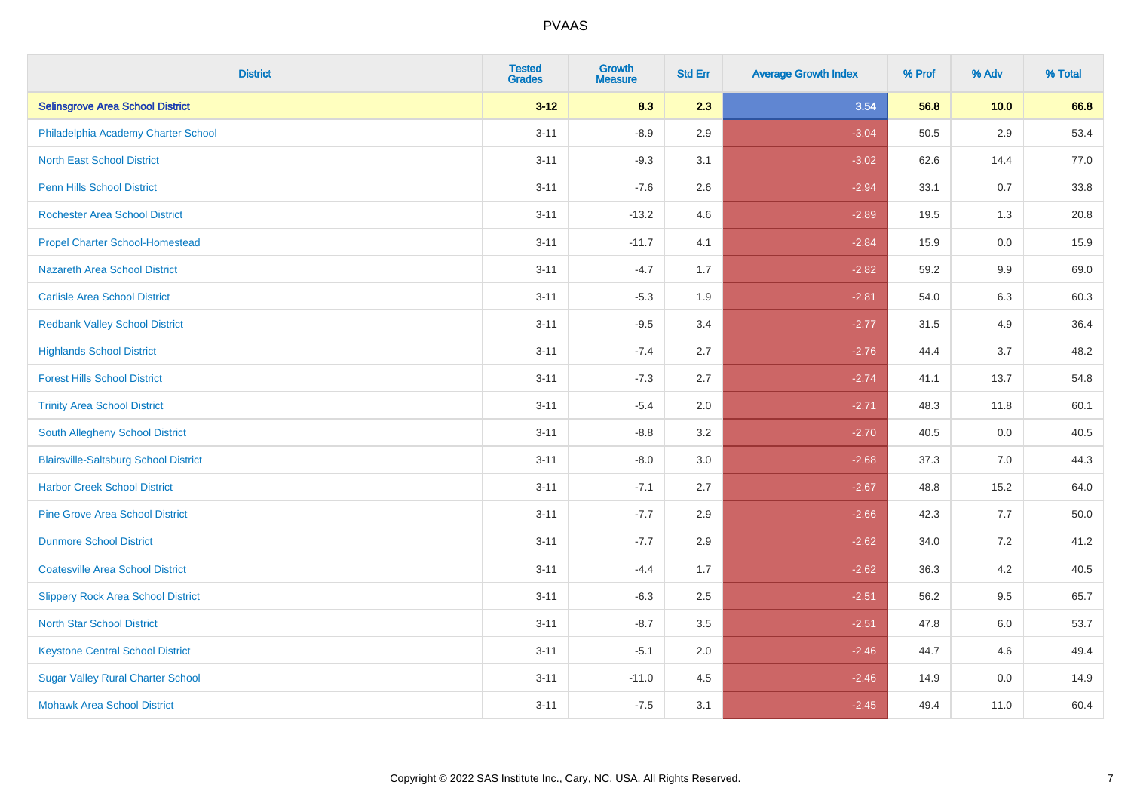| <b>District</b>                              | <b>Tested</b><br><b>Grades</b> | <b>Growth</b><br><b>Measure</b> | <b>Std Err</b> | <b>Average Growth Index</b> | % Prof | % Adv   | % Total |
|----------------------------------------------|--------------------------------|---------------------------------|----------------|-----------------------------|--------|---------|---------|
| <b>Selinsgrove Area School District</b>      | $3 - 12$                       | 8.3                             | 2.3            | 3.54                        | 56.8   | 10.0    | 66.8    |
| Philadelphia Academy Charter School          | $3 - 11$                       | $-8.9$                          | 2.9            | $-3.04$                     | 50.5   | 2.9     | 53.4    |
| <b>North East School District</b>            | $3 - 11$                       | $-9.3$                          | 3.1            | $-3.02$                     | 62.6   | 14.4    | 77.0    |
| <b>Penn Hills School District</b>            | $3 - 11$                       | $-7.6$                          | 2.6            | $-2.94$                     | 33.1   | 0.7     | 33.8    |
| <b>Rochester Area School District</b>        | $3 - 11$                       | $-13.2$                         | 4.6            | $-2.89$                     | 19.5   | 1.3     | 20.8    |
| <b>Propel Charter School-Homestead</b>       | $3 - 11$                       | $-11.7$                         | 4.1            | $-2.84$                     | 15.9   | 0.0     | 15.9    |
| <b>Nazareth Area School District</b>         | $3 - 11$                       | $-4.7$                          | 1.7            | $-2.82$                     | 59.2   | $9.9\,$ | 69.0    |
| <b>Carlisle Area School District</b>         | $3 - 11$                       | $-5.3$                          | 1.9            | $-2.81$                     | 54.0   | 6.3     | 60.3    |
| <b>Redbank Valley School District</b>        | $3 - 11$                       | $-9.5$                          | 3.4            | $-2.77$                     | 31.5   | 4.9     | 36.4    |
| <b>Highlands School District</b>             | $3 - 11$                       | $-7.4$                          | 2.7            | $-2.76$                     | 44.4   | 3.7     | 48.2    |
| <b>Forest Hills School District</b>          | $3 - 11$                       | $-7.3$                          | 2.7            | $-2.74$                     | 41.1   | 13.7    | 54.8    |
| <b>Trinity Area School District</b>          | $3 - 11$                       | $-5.4$                          | 2.0            | $-2.71$                     | 48.3   | 11.8    | 60.1    |
| South Allegheny School District              | $3 - 11$                       | $-8.8$                          | 3.2            | $-2.70$                     | 40.5   | 0.0     | 40.5    |
| <b>Blairsville-Saltsburg School District</b> | $3 - 11$                       | $-8.0$                          | 3.0            | $-2.68$                     | 37.3   | 7.0     | 44.3    |
| <b>Harbor Creek School District</b>          | $3 - 11$                       | $-7.1$                          | 2.7            | $-2.67$                     | 48.8   | 15.2    | 64.0    |
| <b>Pine Grove Area School District</b>       | $3 - 11$                       | $-7.7$                          | 2.9            | $-2.66$                     | 42.3   | 7.7     | 50.0    |
| <b>Dunmore School District</b>               | $3 - 11$                       | $-7.7$                          | 2.9            | $-2.62$                     | 34.0   | 7.2     | 41.2    |
| <b>Coatesville Area School District</b>      | $3 - 11$                       | $-4.4$                          | 1.7            | $-2.62$                     | 36.3   | 4.2     | 40.5    |
| <b>Slippery Rock Area School District</b>    | $3 - 11$                       | $-6.3$                          | 2.5            | $-2.51$                     | 56.2   | 9.5     | 65.7    |
| <b>North Star School District</b>            | $3 - 11$                       | $-8.7$                          | 3.5            | $-2.51$                     | 47.8   | 6.0     | 53.7    |
| <b>Keystone Central School District</b>      | $3 - 11$                       | $-5.1$                          | 2.0            | $-2.46$                     | 44.7   | 4.6     | 49.4    |
| <b>Sugar Valley Rural Charter School</b>     | $3 - 11$                       | $-11.0$                         | 4.5            | $-2.46$                     | 14.9   | 0.0     | 14.9    |
| <b>Mohawk Area School District</b>           | $3 - 11$                       | $-7.5$                          | 3.1            | $-2.45$                     | 49.4   | 11.0    | 60.4    |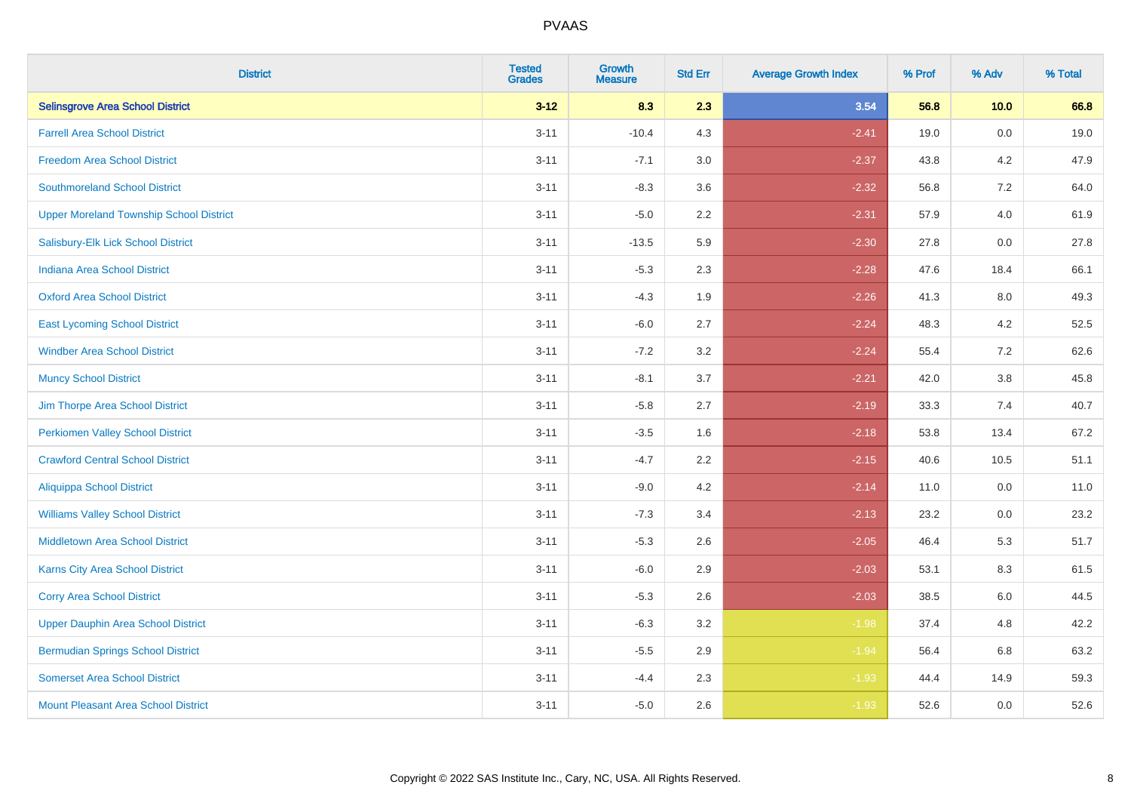| <b>District</b>                                | <b>Tested</b><br><b>Grades</b> | <b>Growth</b><br><b>Measure</b> | <b>Std Err</b> | <b>Average Growth Index</b> | % Prof | % Adv   | % Total |
|------------------------------------------------|--------------------------------|---------------------------------|----------------|-----------------------------|--------|---------|---------|
| <b>Selinsgrove Area School District</b>        | $3 - 12$                       | 8.3                             | 2.3            | 3.54                        | 56.8   | 10.0    | 66.8    |
| <b>Farrell Area School District</b>            | $3 - 11$                       | $-10.4$                         | 4.3            | $-2.41$                     | 19.0   | $0.0\,$ | 19.0    |
| <b>Freedom Area School District</b>            | $3 - 11$                       | $-7.1$                          | 3.0            | $-2.37$                     | 43.8   | 4.2     | 47.9    |
| <b>Southmoreland School District</b>           | $3 - 11$                       | $-8.3$                          | 3.6            | $-2.32$                     | 56.8   | 7.2     | 64.0    |
| <b>Upper Moreland Township School District</b> | $3 - 11$                       | $-5.0$                          | 2.2            | $-2.31$                     | 57.9   | 4.0     | 61.9    |
| Salisbury-Elk Lick School District             | $3 - 11$                       | $-13.5$                         | 5.9            | $-2.30$                     | 27.8   | 0.0     | 27.8    |
| <b>Indiana Area School District</b>            | $3 - 11$                       | $-5.3$                          | 2.3            | $-2.28$                     | 47.6   | 18.4    | 66.1    |
| <b>Oxford Area School District</b>             | $3 - 11$                       | $-4.3$                          | 1.9            | $-2.26$                     | 41.3   | 8.0     | 49.3    |
| <b>East Lycoming School District</b>           | $3 - 11$                       | $-6.0$                          | 2.7            | $-2.24$                     | 48.3   | 4.2     | 52.5    |
| <b>Windber Area School District</b>            | $3 - 11$                       | $-7.2$                          | 3.2            | $-2.24$                     | 55.4   | 7.2     | 62.6    |
| <b>Muncy School District</b>                   | $3 - 11$                       | $-8.1$                          | 3.7            | $-2.21$                     | 42.0   | 3.8     | 45.8    |
| Jim Thorpe Area School District                | $3 - 11$                       | $-5.8$                          | 2.7            | $-2.19$                     | 33.3   | 7.4     | 40.7    |
| <b>Perkiomen Valley School District</b>        | $3 - 11$                       | $-3.5$                          | 1.6            | $-2.18$                     | 53.8   | 13.4    | 67.2    |
| <b>Crawford Central School District</b>        | $3 - 11$                       | $-4.7$                          | 2.2            | $-2.15$                     | 40.6   | 10.5    | 51.1    |
| <b>Aliquippa School District</b>               | $3 - 11$                       | $-9.0$                          | 4.2            | $-2.14$                     | 11.0   | 0.0     | 11.0    |
| <b>Williams Valley School District</b>         | $3 - 11$                       | $-7.3$                          | 3.4            | $-2.13$                     | 23.2   | $0.0\,$ | 23.2    |
| <b>Middletown Area School District</b>         | $3 - 11$                       | $-5.3$                          | 2.6            | $-2.05$                     | 46.4   | 5.3     | 51.7    |
| <b>Karns City Area School District</b>         | $3 - 11$                       | $-6.0$                          | 2.9            | $-2.03$                     | 53.1   | 8.3     | 61.5    |
| <b>Corry Area School District</b>              | $3 - 11$                       | $-5.3$                          | 2.6            | $-2.03$                     | 38.5   | 6.0     | 44.5    |
| <b>Upper Dauphin Area School District</b>      | $3 - 11$                       | $-6.3$                          | 3.2            | $-1.98$                     | 37.4   | 4.8     | 42.2    |
| <b>Bermudian Springs School District</b>       | $3 - 11$                       | $-5.5$                          | 2.9            | $-1.94$                     | 56.4   | 6.8     | 63.2    |
| <b>Somerset Area School District</b>           | $3 - 11$                       | $-4.4$                          | 2.3            | $-1.93$                     | 44.4   | 14.9    | 59.3    |
| <b>Mount Pleasant Area School District</b>     | $3 - 11$                       | $-5.0$                          | 2.6            | $-1.93$                     | 52.6   | 0.0     | 52.6    |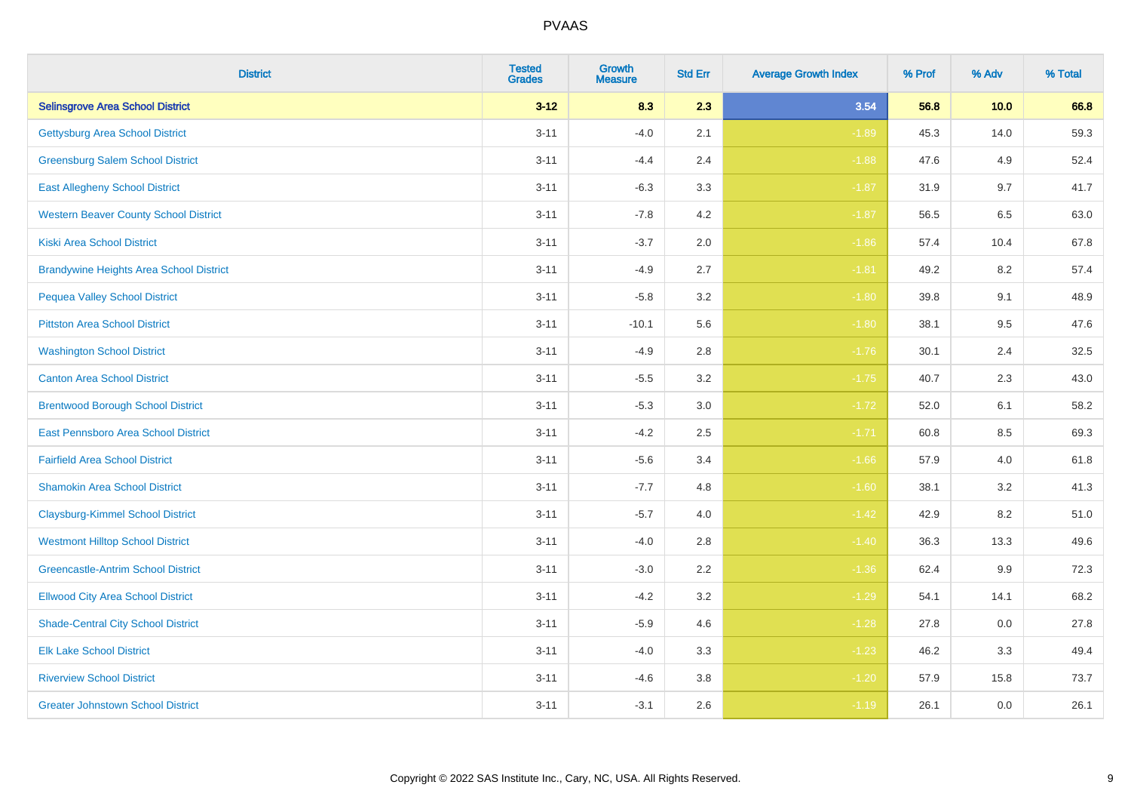| <b>District</b>                                | <b>Tested</b><br><b>Grades</b> | <b>Growth</b><br><b>Measure</b> | <b>Std Err</b> | <b>Average Growth Index</b> | % Prof | % Adv   | % Total |
|------------------------------------------------|--------------------------------|---------------------------------|----------------|-----------------------------|--------|---------|---------|
| <b>Selinsgrove Area School District</b>        | $3 - 12$                       | 8.3                             | 2.3            | 3.54                        | 56.8   | 10.0    | 66.8    |
| <b>Gettysburg Area School District</b>         | $3 - 11$                       | $-4.0$                          | 2.1            | $-1.89$                     | 45.3   | 14.0    | 59.3    |
| <b>Greensburg Salem School District</b>        | $3 - 11$                       | $-4.4$                          | 2.4            | $-1.88$                     | 47.6   | 4.9     | 52.4    |
| <b>East Allegheny School District</b>          | $3 - 11$                       | $-6.3$                          | 3.3            | $-1.87$                     | 31.9   | 9.7     | 41.7    |
| <b>Western Beaver County School District</b>   | $3 - 11$                       | $-7.8$                          | 4.2            | $-1.87$                     | 56.5   | 6.5     | 63.0    |
| <b>Kiski Area School District</b>              | $3 - 11$                       | $-3.7$                          | 2.0            | $-1.86$                     | 57.4   | 10.4    | 67.8    |
| <b>Brandywine Heights Area School District</b> | $3 - 11$                       | $-4.9$                          | 2.7            | $-1.81$                     | 49.2   | 8.2     | 57.4    |
| <b>Pequea Valley School District</b>           | $3 - 11$                       | $-5.8$                          | 3.2            | $-1.80$                     | 39.8   | 9.1     | 48.9    |
| <b>Pittston Area School District</b>           | $3 - 11$                       | $-10.1$                         | 5.6            | $-1.80$                     | 38.1   | 9.5     | 47.6    |
| <b>Washington School District</b>              | $3 - 11$                       | $-4.9$                          | 2.8            | $-1.76$                     | 30.1   | 2.4     | 32.5    |
| <b>Canton Area School District</b>             | $3 - 11$                       | $-5.5$                          | 3.2            | $-1.75$                     | 40.7   | 2.3     | 43.0    |
| <b>Brentwood Borough School District</b>       | $3 - 11$                       | $-5.3$                          | 3.0            | $-1.72$                     | 52.0   | 6.1     | 58.2    |
| East Pennsboro Area School District            | $3 - 11$                       | $-4.2$                          | 2.5            | $-1.71$                     | 60.8   | $8.5\,$ | 69.3    |
| <b>Fairfield Area School District</b>          | $3 - 11$                       | $-5.6$                          | 3.4            | $-1.66$                     | 57.9   | 4.0     | 61.8    |
| <b>Shamokin Area School District</b>           | $3 - 11$                       | $-7.7$                          | 4.8            | $-1.60$                     | 38.1   | 3.2     | 41.3    |
| <b>Claysburg-Kimmel School District</b>        | $3 - 11$                       | $-5.7$                          | 4.0            | $-1.42$                     | 42.9   | 8.2     | 51.0    |
| <b>Westmont Hilltop School District</b>        | $3 - 11$                       | $-4.0$                          | 2.8            | $-1.40$                     | 36.3   | 13.3    | 49.6    |
| <b>Greencastle-Antrim School District</b>      | $3 - 11$                       | $-3.0$                          | 2.2            | $-1.36$                     | 62.4   | 9.9     | 72.3    |
| <b>Ellwood City Area School District</b>       | $3 - 11$                       | $-4.2$                          | 3.2            | $-1.29$                     | 54.1   | 14.1    | 68.2    |
| <b>Shade-Central City School District</b>      | $3 - 11$                       | $-5.9$                          | 4.6            | $-1.28$                     | 27.8   | 0.0     | 27.8    |
| <b>Elk Lake School District</b>                | $3 - 11$                       | $-4.0$                          | 3.3            | $-1.23$                     | 46.2   | 3.3     | 49.4    |
| <b>Riverview School District</b>               | $3 - 11$                       | $-4.6$                          | 3.8            | $-1.20$                     | 57.9   | 15.8    | 73.7    |
| <b>Greater Johnstown School District</b>       | $3 - 11$                       | $-3.1$                          | 2.6            | $-1.19$                     | 26.1   | 0.0     | 26.1    |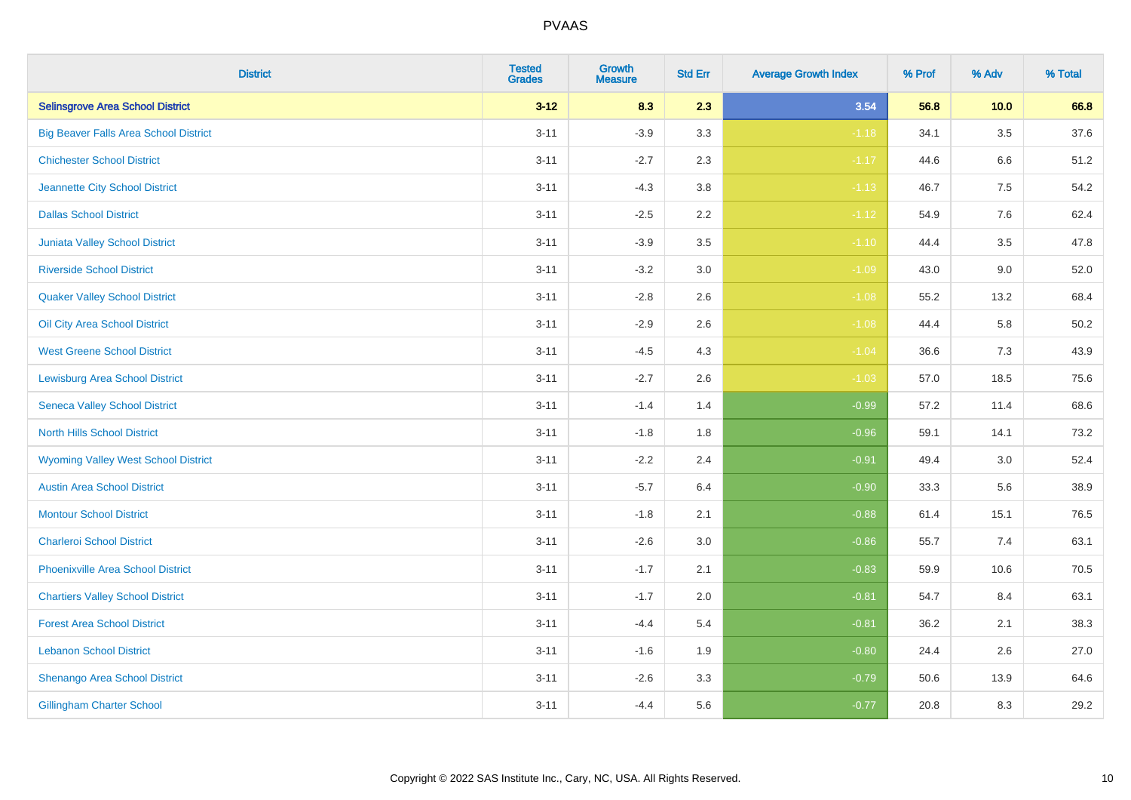| <b>District</b>                              | <b>Tested</b><br><b>Grades</b> | Growth<br><b>Measure</b> | <b>Std Err</b> | <b>Average Growth Index</b> | % Prof | % Adv   | % Total |
|----------------------------------------------|--------------------------------|--------------------------|----------------|-----------------------------|--------|---------|---------|
| <b>Selinsgrove Area School District</b>      | $3 - 12$                       | 8.3                      | 2.3            | 3.54                        | 56.8   | 10.0    | 66.8    |
| <b>Big Beaver Falls Area School District</b> | $3 - 11$                       | $-3.9$                   | 3.3            | $-1.18$                     | 34.1   | 3.5     | 37.6    |
| <b>Chichester School District</b>            | $3 - 11$                       | $-2.7$                   | 2.3            | $-1.17$                     | 44.6   | 6.6     | 51.2    |
| Jeannette City School District               | $3 - 11$                       | $-4.3$                   | 3.8            | $-1.13$                     | 46.7   | $7.5\,$ | 54.2    |
| <b>Dallas School District</b>                | $3 - 11$                       | $-2.5$                   | 2.2            | $-1.12$                     | 54.9   | 7.6     | 62.4    |
| Juniata Valley School District               | $3 - 11$                       | $-3.9$                   | 3.5            | $-1.10$                     | 44.4   | 3.5     | 47.8    |
| <b>Riverside School District</b>             | $3 - 11$                       | $-3.2$                   | 3.0            | $-1.09$                     | 43.0   | 9.0     | 52.0    |
| <b>Quaker Valley School District</b>         | $3 - 11$                       | $-2.8$                   | 2.6            | $-1.08$                     | 55.2   | 13.2    | 68.4    |
| Oil City Area School District                | $3 - 11$                       | $-2.9$                   | 2.6            | $-1.08$                     | 44.4   | 5.8     | 50.2    |
| <b>West Greene School District</b>           | $3 - 11$                       | $-4.5$                   | 4.3            | $-1.04$                     | 36.6   | 7.3     | 43.9    |
| <b>Lewisburg Area School District</b>        | $3 - 11$                       | $-2.7$                   | 2.6            | $-1.03$                     | 57.0   | 18.5    | 75.6    |
| <b>Seneca Valley School District</b>         | $3 - 11$                       | $-1.4$                   | 1.4            | $-0.99$                     | 57.2   | 11.4    | 68.6    |
| <b>North Hills School District</b>           | $3 - 11$                       | $-1.8$                   | 1.8            | $-0.96$                     | 59.1   | 14.1    | 73.2    |
| <b>Wyoming Valley West School District</b>   | $3 - 11$                       | $-2.2$                   | 2.4            | $-0.91$                     | 49.4   | 3.0     | 52.4    |
| <b>Austin Area School District</b>           | $3 - 11$                       | $-5.7$                   | 6.4            | $-0.90$                     | 33.3   | 5.6     | 38.9    |
| <b>Montour School District</b>               | $3 - 11$                       | $-1.8$                   | 2.1            | $-0.88$                     | 61.4   | 15.1    | 76.5    |
| <b>Charleroi School District</b>             | $3 - 11$                       | $-2.6$                   | 3.0            | $-0.86$                     | 55.7   | 7.4     | 63.1    |
| Phoenixville Area School District            | $3 - 11$                       | $-1.7$                   | 2.1            | $-0.83$                     | 59.9   | 10.6    | 70.5    |
| <b>Chartiers Valley School District</b>      | $3 - 11$                       | $-1.7$                   | 2.0            | $-0.81$                     | 54.7   | 8.4     | 63.1    |
| <b>Forest Area School District</b>           | $3 - 11$                       | $-4.4$                   | 5.4            | $-0.81$                     | 36.2   | 2.1     | 38.3    |
| <b>Lebanon School District</b>               | $3 - 11$                       | $-1.6$                   | 1.9            | $-0.80$                     | 24.4   | $2.6\,$ | 27.0    |
| Shenango Area School District                | $3 - 11$                       | $-2.6$                   | 3.3            | $-0.79$                     | 50.6   | 13.9    | 64.6    |
| <b>Gillingham Charter School</b>             | $3 - 11$                       | $-4.4$                   | 5.6            | $-0.77$                     | 20.8   | 8.3     | 29.2    |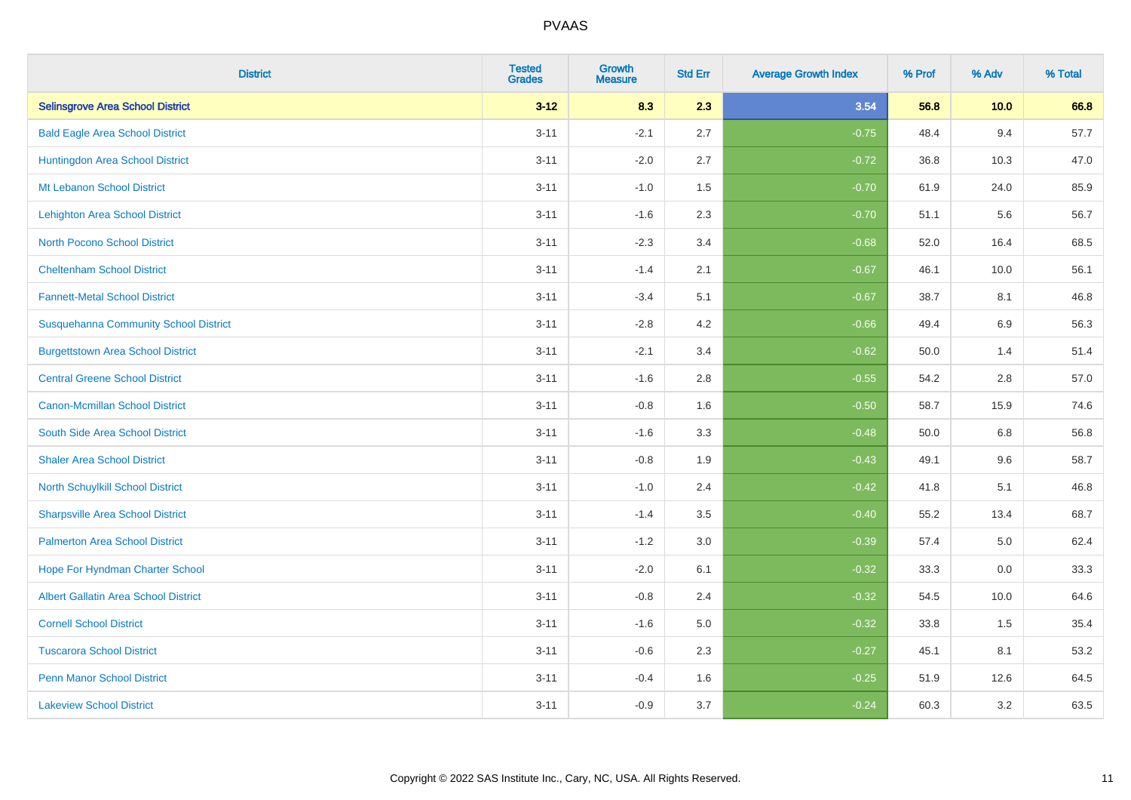| <b>District</b>                              | <b>Tested</b><br><b>Grades</b> | <b>Growth</b><br><b>Measure</b> | <b>Std Err</b> | <b>Average Growth Index</b> | % Prof | % Adv | % Total |
|----------------------------------------------|--------------------------------|---------------------------------|----------------|-----------------------------|--------|-------|---------|
| <b>Selinsgrove Area School District</b>      | $3 - 12$                       | 8.3                             | 2.3            | 3.54                        | 56.8   | 10.0  | 66.8    |
| <b>Bald Eagle Area School District</b>       | $3 - 11$                       | $-2.1$                          | 2.7            | $-0.75$                     | 48.4   | 9.4   | 57.7    |
| Huntingdon Area School District              | $3 - 11$                       | $-2.0$                          | 2.7            | $-0.72$                     | 36.8   | 10.3  | 47.0    |
| Mt Lebanon School District                   | $3 - 11$                       | $-1.0$                          | 1.5            | $-0.70$                     | 61.9   | 24.0  | 85.9    |
| Lehighton Area School District               | $3 - 11$                       | $-1.6$                          | 2.3            | $-0.70$                     | 51.1   | 5.6   | 56.7    |
| <b>North Pocono School District</b>          | $3 - 11$                       | $-2.3$                          | 3.4            | $-0.68$                     | 52.0   | 16.4  | 68.5    |
| <b>Cheltenham School District</b>            | $3 - 11$                       | $-1.4$                          | 2.1            | $-0.67$                     | 46.1   | 10.0  | 56.1    |
| <b>Fannett-Metal School District</b>         | $3 - 11$                       | $-3.4$                          | 5.1            | $-0.67$                     | 38.7   | 8.1   | 46.8    |
| <b>Susquehanna Community School District</b> | $3 - 11$                       | $-2.8$                          | 4.2            | $-0.66$                     | 49.4   | 6.9   | 56.3    |
| <b>Burgettstown Area School District</b>     | $3 - 11$                       | $-2.1$                          | 3.4            | $-0.62$                     | 50.0   | 1.4   | 51.4    |
| <b>Central Greene School District</b>        | $3 - 11$                       | $-1.6$                          | 2.8            | $-0.55$                     | 54.2   | 2.8   | 57.0    |
| <b>Canon-Mcmillan School District</b>        | $3 - 11$                       | $-0.8$                          | 1.6            | $-0.50$                     | 58.7   | 15.9  | 74.6    |
| South Side Area School District              | $3 - 11$                       | $-1.6$                          | 3.3            | $-0.48$                     | 50.0   | 6.8   | 56.8    |
| <b>Shaler Area School District</b>           | $3 - 11$                       | $-0.8$                          | 1.9            | $-0.43$                     | 49.1   | 9.6   | 58.7    |
| North Schuylkill School District             | $3 - 11$                       | $-1.0$                          | 2.4            | $-0.42$                     | 41.8   | 5.1   | 46.8    |
| <b>Sharpsville Area School District</b>      | $3 - 11$                       | $-1.4$                          | 3.5            | $-0.40$                     | 55.2   | 13.4  | 68.7    |
| <b>Palmerton Area School District</b>        | $3 - 11$                       | $-1.2$                          | 3.0            | $-0.39$                     | 57.4   | 5.0   | 62.4    |
| Hope For Hyndman Charter School              | $3 - 11$                       | $-2.0$                          | 6.1            | $-0.32$                     | 33.3   | 0.0   | 33.3    |
| <b>Albert Gallatin Area School District</b>  | $3 - 11$                       | $-0.8$                          | 2.4            | $-0.32$                     | 54.5   | 10.0  | 64.6    |
| <b>Cornell School District</b>               | $3 - 11$                       | $-1.6$                          | 5.0            | $-0.32$                     | 33.8   | 1.5   | 35.4    |
| <b>Tuscarora School District</b>             | $3 - 11$                       | $-0.6$                          | 2.3            | $-0.27$                     | 45.1   | 8.1   | 53.2    |
| <b>Penn Manor School District</b>            | $3 - 11$                       | $-0.4$                          | 1.6            | $-0.25$                     | 51.9   | 12.6  | 64.5    |
| <b>Lakeview School District</b>              | $3 - 11$                       | $-0.9$                          | 3.7            | $-0.24$                     | 60.3   | 3.2   | 63.5    |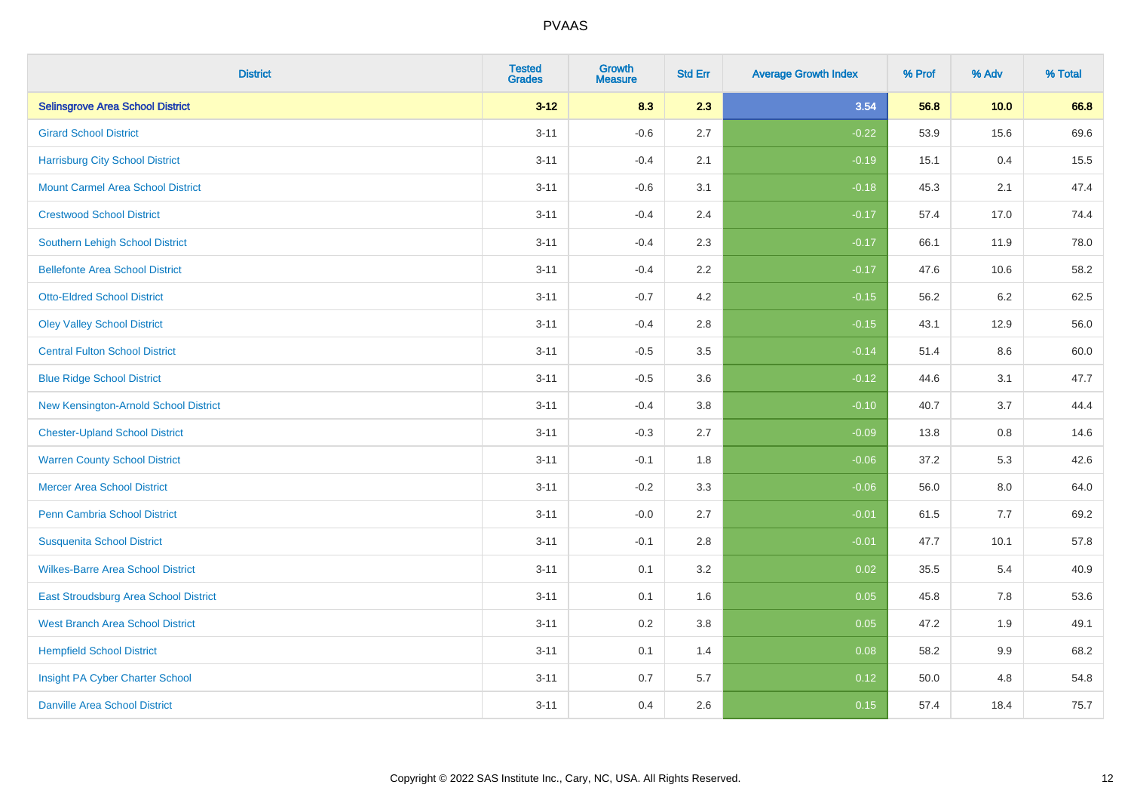| <b>District</b>                          | <b>Tested</b><br><b>Grades</b> | <b>Growth</b><br><b>Measure</b> | <b>Std Err</b> | <b>Average Growth Index</b> | % Prof | % Adv   | % Total |
|------------------------------------------|--------------------------------|---------------------------------|----------------|-----------------------------|--------|---------|---------|
| <b>Selinsgrove Area School District</b>  | $3 - 12$                       | 8.3                             | 2.3            | 3.54                        | 56.8   | 10.0    | 66.8    |
| <b>Girard School District</b>            | $3 - 11$                       | $-0.6$                          | 2.7            | $-0.22$                     | 53.9   | 15.6    | 69.6    |
| <b>Harrisburg City School District</b>   | $3 - 11$                       | $-0.4$                          | 2.1            | $-0.19$                     | 15.1   | 0.4     | 15.5    |
| <b>Mount Carmel Area School District</b> | $3 - 11$                       | $-0.6$                          | 3.1            | $-0.18$                     | 45.3   | 2.1     | 47.4    |
| <b>Crestwood School District</b>         | $3 - 11$                       | $-0.4$                          | 2.4            | $-0.17$                     | 57.4   | 17.0    | 74.4    |
| <b>Southern Lehigh School District</b>   | $3 - 11$                       | $-0.4$                          | 2.3            | $-0.17$                     | 66.1   | 11.9    | 78.0    |
| <b>Bellefonte Area School District</b>   | $3 - 11$                       | $-0.4$                          | 2.2            | $-0.17$                     | 47.6   | 10.6    | 58.2    |
| <b>Otto-Eldred School District</b>       | $3 - 11$                       | $-0.7$                          | 4.2            | $-0.15$                     | 56.2   | $6.2\,$ | 62.5    |
| <b>Oley Valley School District</b>       | $3 - 11$                       | $-0.4$                          | 2.8            | $-0.15$                     | 43.1   | 12.9    | 56.0    |
| <b>Central Fulton School District</b>    | $3 - 11$                       | $-0.5$                          | 3.5            | $-0.14$                     | 51.4   | 8.6     | 60.0    |
| <b>Blue Ridge School District</b>        | $3 - 11$                       | $-0.5$                          | 3.6            | $-0.12$                     | 44.6   | 3.1     | 47.7    |
| New Kensington-Arnold School District    | $3 - 11$                       | $-0.4$                          | 3.8            | $-0.10$                     | 40.7   | 3.7     | 44.4    |
| <b>Chester-Upland School District</b>    | $3 - 11$                       | $-0.3$                          | 2.7            | $-0.09$                     | 13.8   | $0.8\,$ | 14.6    |
| <b>Warren County School District</b>     | $3 - 11$                       | $-0.1$                          | 1.8            | $-0.06$                     | 37.2   | 5.3     | 42.6    |
| <b>Mercer Area School District</b>       | $3 - 11$                       | $-0.2$                          | 3.3            | $-0.06$                     | 56.0   | $8.0\,$ | 64.0    |
| <b>Penn Cambria School District</b>      | $3 - 11$                       | $-0.0$                          | 2.7            | $-0.01$                     | 61.5   | $7.7$   | 69.2    |
| <b>Susquenita School District</b>        | $3 - 11$                       | $-0.1$                          | 2.8            | $-0.01$                     | 47.7   | 10.1    | 57.8    |
| <b>Wilkes-Barre Area School District</b> | $3 - 11$                       | 0.1                             | 3.2            | 0.02                        | 35.5   | 5.4     | 40.9    |
| East Stroudsburg Area School District    | $3 - 11$                       | 0.1                             | 1.6            | 0.05                        | 45.8   | 7.8     | 53.6    |
| <b>West Branch Area School District</b>  | $3 - 11$                       | 0.2                             | 3.8            | 0.05                        | 47.2   | 1.9     | 49.1    |
| <b>Hempfield School District</b>         | $3 - 11$                       | 0.1                             | 1.4            | 0.08                        | 58.2   | 9.9     | 68.2    |
| Insight PA Cyber Charter School          | $3 - 11$                       | 0.7                             | 5.7            | 0.12                        | 50.0   | 4.8     | 54.8    |
| <b>Danville Area School District</b>     | $3 - 11$                       | 0.4                             | 2.6            | 0.15                        | 57.4   | 18.4    | 75.7    |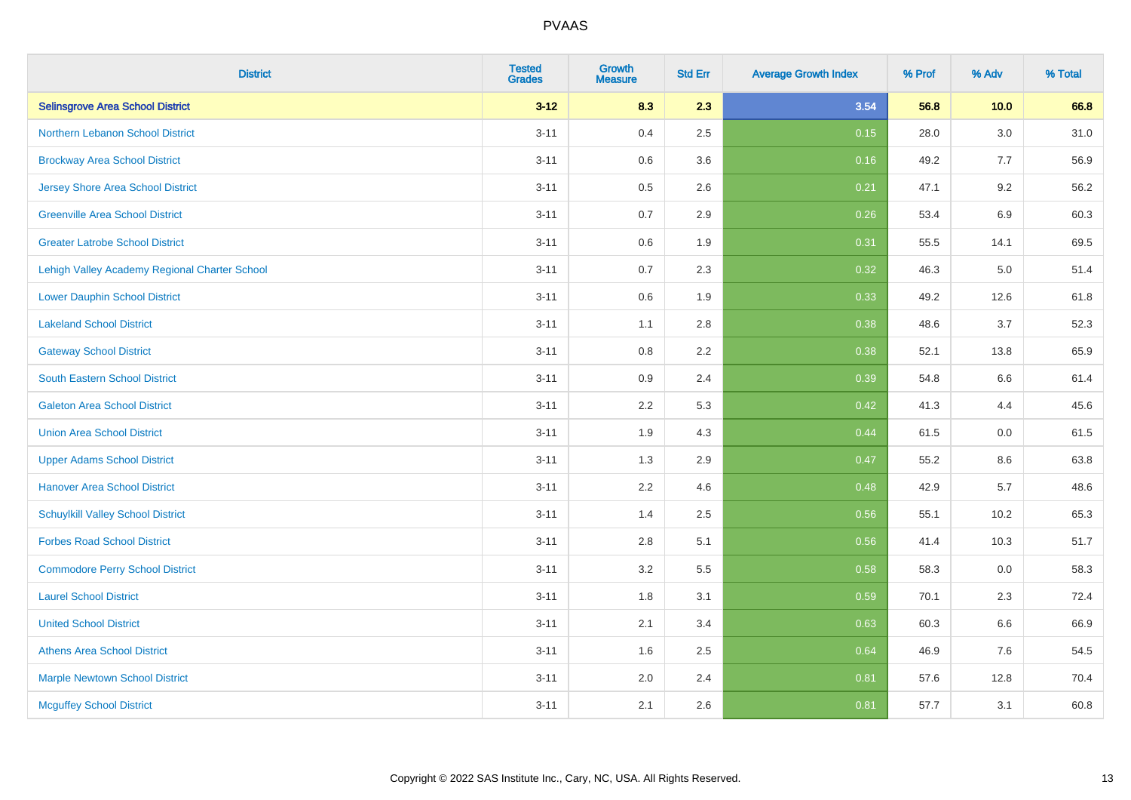| <b>District</b>                               | <b>Tested</b><br><b>Grades</b> | Growth<br><b>Measure</b> | <b>Std Err</b> | <b>Average Growth Index</b> | % Prof | % Adv | % Total |
|-----------------------------------------------|--------------------------------|--------------------------|----------------|-----------------------------|--------|-------|---------|
| <b>Selinsgrove Area School District</b>       | $3 - 12$                       | 8.3                      | 2.3            | 3.54                        | 56.8   | 10.0  | 66.8    |
| Northern Lebanon School District              | $3 - 11$                       | 0.4                      | 2.5            | 0.15                        | 28.0   | 3.0   | 31.0    |
| <b>Brockway Area School District</b>          | $3 - 11$                       | 0.6                      | 3.6            | 0.16                        | 49.2   | 7.7   | 56.9    |
| Jersey Shore Area School District             | $3 - 11$                       | 0.5                      | 2.6            | 0.21                        | 47.1   | 9.2   | 56.2    |
| <b>Greenville Area School District</b>        | $3 - 11$                       | 0.7                      | 2.9            | 0.26                        | 53.4   | 6.9   | 60.3    |
| <b>Greater Latrobe School District</b>        | $3 - 11$                       | 0.6                      | 1.9            | 0.31                        | 55.5   | 14.1  | 69.5    |
| Lehigh Valley Academy Regional Charter School | $3 - 11$                       | 0.7                      | 2.3            | 0.32                        | 46.3   | 5.0   | 51.4    |
| <b>Lower Dauphin School District</b>          | $3 - 11$                       | 0.6                      | 1.9            | 0.33                        | 49.2   | 12.6  | 61.8    |
| <b>Lakeland School District</b>               | $3 - 11$                       | 1.1                      | 2.8            | 0.38                        | 48.6   | 3.7   | 52.3    |
| <b>Gateway School District</b>                | $3 - 11$                       | 0.8                      | 2.2            | 0.38                        | 52.1   | 13.8  | 65.9    |
| <b>South Eastern School District</b>          | $3 - 11$                       | 0.9                      | 2.4            | 0.39                        | 54.8   | 6.6   | 61.4    |
| <b>Galeton Area School District</b>           | $3 - 11$                       | 2.2                      | 5.3            | 0.42                        | 41.3   | 4.4   | 45.6    |
| <b>Union Area School District</b>             | $3 - 11$                       | 1.9                      | 4.3            | 0.44                        | 61.5   | 0.0   | 61.5    |
| <b>Upper Adams School District</b>            | $3 - 11$                       | 1.3                      | 2.9            | 0.47                        | 55.2   | 8.6   | 63.8    |
| <b>Hanover Area School District</b>           | $3 - 11$                       | 2.2                      | 4.6            | 0.48                        | 42.9   | 5.7   | 48.6    |
| <b>Schuylkill Valley School District</b>      | $3 - 11$                       | 1.4                      | 2.5            | 0.56                        | 55.1   | 10.2  | 65.3    |
| <b>Forbes Road School District</b>            | $3 - 11$                       | 2.8                      | 5.1            | 0.56                        | 41.4   | 10.3  | 51.7    |
| <b>Commodore Perry School District</b>        | $3 - 11$                       | 3.2                      | 5.5            | 0.58                        | 58.3   | 0.0   | 58.3    |
| <b>Laurel School District</b>                 | $3 - 11$                       | 1.8                      | 3.1            | 0.59                        | 70.1   | 2.3   | 72.4    |
| <b>United School District</b>                 | $3 - 11$                       | 2.1                      | 3.4            | 0.63                        | 60.3   | 6.6   | 66.9    |
| <b>Athens Area School District</b>            | $3 - 11$                       | 1.6                      | 2.5            | 0.64                        | 46.9   | 7.6   | 54.5    |
| <b>Marple Newtown School District</b>         | $3 - 11$                       | 2.0                      | 2.4            | 0.81                        | 57.6   | 12.8  | 70.4    |
| <b>Mcguffey School District</b>               | $3 - 11$                       | 2.1                      | 2.6            | 0.81                        | 57.7   | 3.1   | 60.8    |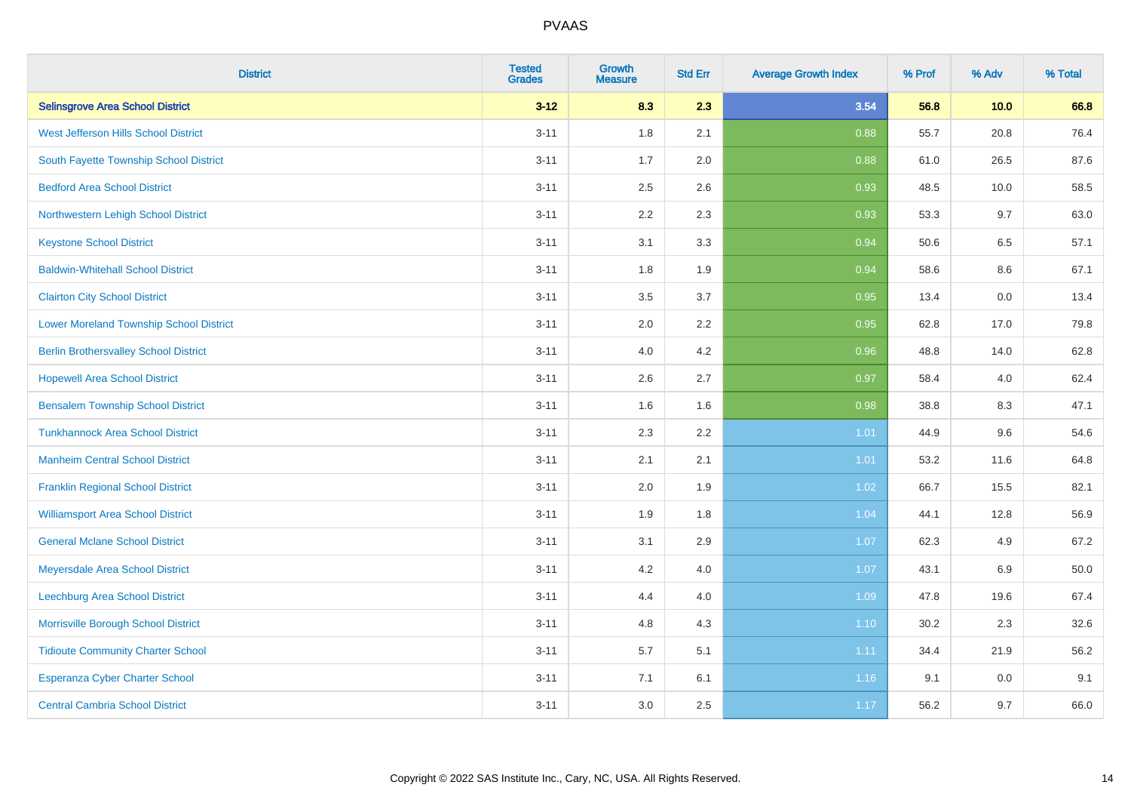| <b>District</b>                                | <b>Tested</b><br><b>Grades</b> | <b>Growth</b><br><b>Measure</b> | <b>Std Err</b> | <b>Average Growth Index</b> | % Prof | % Adv   | % Total  |
|------------------------------------------------|--------------------------------|---------------------------------|----------------|-----------------------------|--------|---------|----------|
| <b>Selinsgrove Area School District</b>        | $3 - 12$                       | 8.3                             | 2.3            | 3.54                        | 56.8   | 10.0    | 66.8     |
| West Jefferson Hills School District           | $3 - 11$                       | 1.8                             | 2.1            | 0.88                        | 55.7   | 20.8    | 76.4     |
| South Fayette Township School District         | $3 - 11$                       | 1.7                             | 2.0            | 0.88                        | 61.0   | 26.5    | 87.6     |
| <b>Bedford Area School District</b>            | $3 - 11$                       | 2.5                             | 2.6            | 0.93                        | 48.5   | 10.0    | 58.5     |
| Northwestern Lehigh School District            | $3 - 11$                       | 2.2                             | 2.3            | 0.93                        | 53.3   | 9.7     | 63.0     |
| <b>Keystone School District</b>                | $3 - 11$                       | 3.1                             | 3.3            | 0.94                        | 50.6   | 6.5     | 57.1     |
| <b>Baldwin-Whitehall School District</b>       | $3 - 11$                       | 1.8                             | 1.9            | 0.94                        | 58.6   | $8.6\,$ | 67.1     |
| <b>Clairton City School District</b>           | $3 - 11$                       | 3.5                             | 3.7            | 0.95                        | 13.4   | 0.0     | 13.4     |
| <b>Lower Moreland Township School District</b> | $3 - 11$                       | 2.0                             | 2.2            | 0.95                        | 62.8   | 17.0    | 79.8     |
| <b>Berlin Brothersvalley School District</b>   | $3 - 11$                       | 4.0                             | 4.2            | 0.96                        | 48.8   | 14.0    | 62.8     |
| <b>Hopewell Area School District</b>           | $3 - 11$                       | 2.6                             | 2.7            | 0.97                        | 58.4   | 4.0     | 62.4     |
| <b>Bensalem Township School District</b>       | $3 - 11$                       | 1.6                             | 1.6            | 0.98                        | 38.8   | 8.3     | 47.1     |
| <b>Tunkhannock Area School District</b>        | $3 - 11$                       | 2.3                             | 2.2            | 1.01                        | 44.9   | 9.6     | 54.6     |
| <b>Manheim Central School District</b>         | $3 - 11$                       | 2.1                             | 2.1            | 1.01                        | 53.2   | 11.6    | 64.8     |
| <b>Franklin Regional School District</b>       | $3 - 11$                       | 2.0                             | 1.9            | 1.02                        | 66.7   | 15.5    | 82.1     |
| <b>Williamsport Area School District</b>       | $3 - 11$                       | 1.9                             | 1.8            | 1.04                        | 44.1   | 12.8    | 56.9     |
| <b>General Mclane School District</b>          | $3 - 11$                       | 3.1                             | 2.9            | 1.07                        | 62.3   | 4.9     | 67.2     |
| Meyersdale Area School District                | $3 - 11$                       | 4.2                             | 4.0            | 1.07                        | 43.1   | 6.9     | $50.0\,$ |
| Leechburg Area School District                 | $3 - 11$                       | 4.4                             | 4.0            | 1.09                        | 47.8   | 19.6    | 67.4     |
| Morrisville Borough School District            | $3 - 11$                       | 4.8                             | 4.3            | 1.10                        | 30.2   | 2.3     | 32.6     |
| <b>Tidioute Community Charter School</b>       | $3 - 11$                       | 5.7                             | 5.1            | 1.11                        | 34.4   | 21.9    | 56.2     |
| Esperanza Cyber Charter School                 | $3 - 11$                       | 7.1                             | 6.1            | 1.16                        | 9.1    | 0.0     | 9.1      |
| <b>Central Cambria School District</b>         | $3 - 11$                       | 3.0                             | 2.5            | 1.17                        | 56.2   | 9.7     | 66.0     |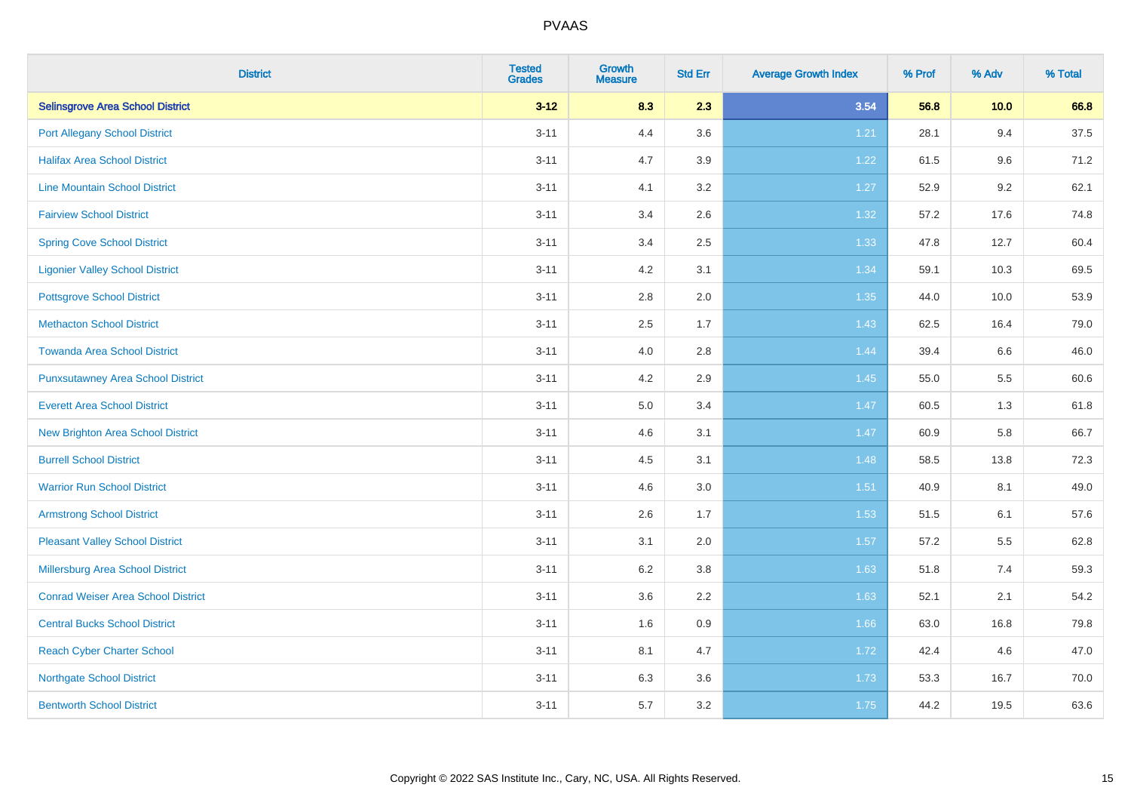| <b>District</b>                           | <b>Tested</b><br><b>Grades</b> | <b>Growth</b><br><b>Measure</b> | <b>Std Err</b> | <b>Average Growth Index</b> | % Prof | % Adv | % Total |
|-------------------------------------------|--------------------------------|---------------------------------|----------------|-----------------------------|--------|-------|---------|
| <b>Selinsgrove Area School District</b>   | $3 - 12$                       | 8.3                             | 2.3            | 3.54                        | 56.8   | 10.0  | 66.8    |
| <b>Port Allegany School District</b>      | $3 - 11$                       | 4.4                             | 3.6            | 1.21                        | 28.1   | 9.4   | 37.5    |
| <b>Halifax Area School District</b>       | $3 - 11$                       | 4.7                             | 3.9            | 1.22                        | 61.5   | 9.6   | 71.2    |
| <b>Line Mountain School District</b>      | $3 - 11$                       | 4.1                             | 3.2            | 1.27                        | 52.9   | 9.2   | 62.1    |
| <b>Fairview School District</b>           | $3 - 11$                       | 3.4                             | 2.6            | 1.32                        | 57.2   | 17.6  | 74.8    |
| <b>Spring Cove School District</b>        | $3 - 11$                       | 3.4                             | 2.5            | 1.33                        | 47.8   | 12.7  | 60.4    |
| <b>Ligonier Valley School District</b>    | $3 - 11$                       | 4.2                             | 3.1            | 1.34                        | 59.1   | 10.3  | 69.5    |
| <b>Pottsgrove School District</b>         | $3 - 11$                       | 2.8                             | 2.0            | 1.35                        | 44.0   | 10.0  | 53.9    |
| <b>Methacton School District</b>          | $3 - 11$                       | 2.5                             | 1.7            | 1.43                        | 62.5   | 16.4  | 79.0    |
| <b>Towanda Area School District</b>       | $3 - 11$                       | 4.0                             | 2.8            | 1.44                        | 39.4   | 6.6   | 46.0    |
| <b>Punxsutawney Area School District</b>  | $3 - 11$                       | 4.2                             | 2.9            | 1.45                        | 55.0   | 5.5   | 60.6    |
| <b>Everett Area School District</b>       | $3 - 11$                       | 5.0                             | 3.4            | 1.47                        | 60.5   | 1.3   | 61.8    |
| <b>New Brighton Area School District</b>  | $3 - 11$                       | 4.6                             | 3.1            | 1.47                        | 60.9   | 5.8   | 66.7    |
| <b>Burrell School District</b>            | $3 - 11$                       | 4.5                             | 3.1            | 1.48                        | 58.5   | 13.8  | 72.3    |
| <b>Warrior Run School District</b>        | $3 - 11$                       | 4.6                             | 3.0            | 1.51                        | 40.9   | 8.1   | 49.0    |
| <b>Armstrong School District</b>          | $3 - 11$                       | 2.6                             | 1.7            | 1.53                        | 51.5   | 6.1   | 57.6    |
| <b>Pleasant Valley School District</b>    | $3 - 11$                       | 3.1                             | 2.0            | 1.57                        | 57.2   | 5.5   | 62.8    |
| Millersburg Area School District          | $3 - 11$                       | 6.2                             | 3.8            | 1.63                        | 51.8   | 7.4   | 59.3    |
| <b>Conrad Weiser Area School District</b> | $3 - 11$                       | 3.6                             | 2.2            | 1.63                        | 52.1   | 2.1   | 54.2    |
| <b>Central Bucks School District</b>      | $3 - 11$                       | 1.6                             | 0.9            | 1.66                        | 63.0   | 16.8  | 79.8    |
| <b>Reach Cyber Charter School</b>         | $3 - 11$                       | 8.1                             | 4.7            | 1.72                        | 42.4   | 4.6   | 47.0    |
| <b>Northgate School District</b>          | $3 - 11$                       | 6.3                             | 3.6            | 1.73                        | 53.3   | 16.7  | 70.0    |
| <b>Bentworth School District</b>          | $3 - 11$                       | 5.7                             | 3.2            | 1.75                        | 44.2   | 19.5  | 63.6    |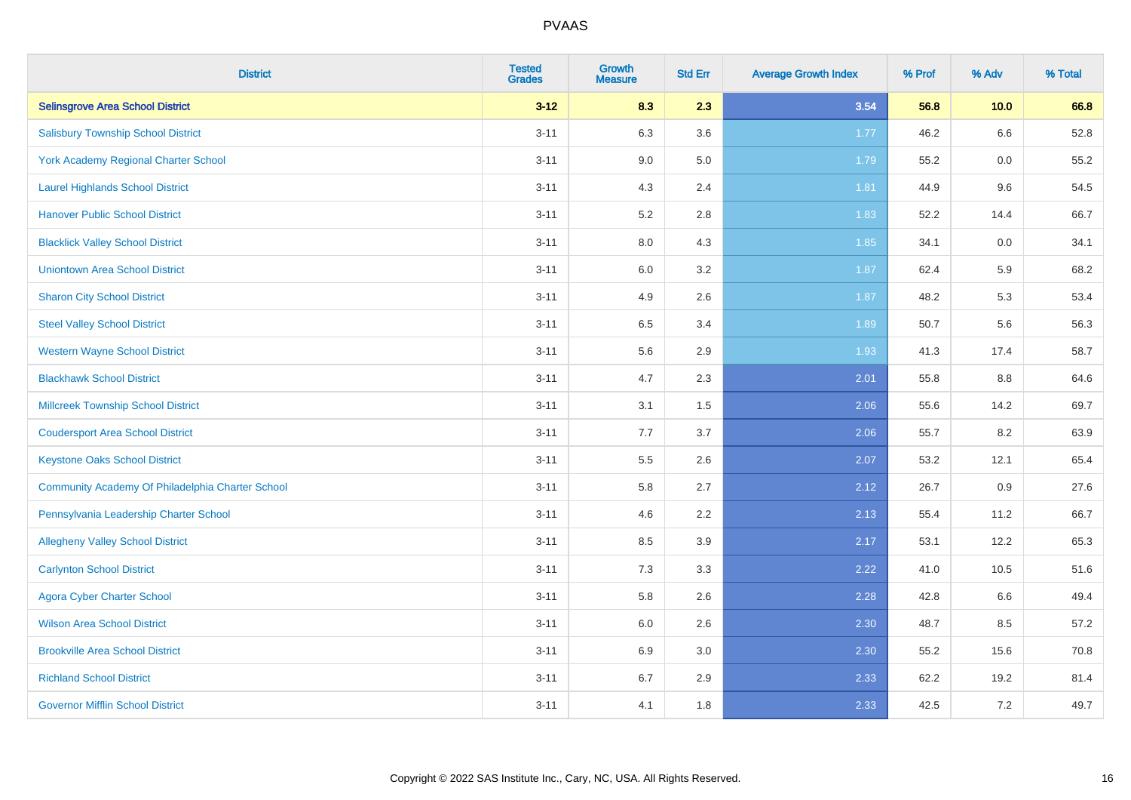| <b>District</b>                                  | <b>Tested</b><br><b>Grades</b> | <b>Growth</b><br><b>Measure</b> | <b>Std Err</b> | <b>Average Growth Index</b> | % Prof | % Adv | % Total |
|--------------------------------------------------|--------------------------------|---------------------------------|----------------|-----------------------------|--------|-------|---------|
| <b>Selinsgrove Area School District</b>          | $3 - 12$                       | 8.3                             | 2.3            | 3.54                        | 56.8   | 10.0  | 66.8    |
| <b>Salisbury Township School District</b>        | $3 - 11$                       | 6.3                             | 3.6            | 1.77                        | 46.2   | 6.6   | 52.8    |
| York Academy Regional Charter School             | $3 - 11$                       | 9.0                             | 5.0            | 1.79                        | 55.2   | 0.0   | 55.2    |
| <b>Laurel Highlands School District</b>          | $3 - 11$                       | 4.3                             | 2.4            | 1.81                        | 44.9   | 9.6   | 54.5    |
| <b>Hanover Public School District</b>            | $3 - 11$                       | 5.2                             | 2.8            | 1.83                        | 52.2   | 14.4  | 66.7    |
| <b>Blacklick Valley School District</b>          | $3 - 11$                       | $8.0\,$                         | 4.3            | 1.85                        | 34.1   | 0.0   | 34.1    |
| <b>Uniontown Area School District</b>            | $3 - 11$                       | $6.0\,$                         | 3.2            | 1.87                        | 62.4   | 5.9   | 68.2    |
| <b>Sharon City School District</b>               | $3 - 11$                       | 4.9                             | 2.6            | 1.87                        | 48.2   | 5.3   | 53.4    |
| <b>Steel Valley School District</b>              | $3 - 11$                       | 6.5                             | 3.4            | 1.89                        | 50.7   | 5.6   | 56.3    |
| <b>Western Wayne School District</b>             | $3 - 11$                       | $5.6\,$                         | 2.9            | 1.93                        | 41.3   | 17.4  | 58.7    |
| <b>Blackhawk School District</b>                 | $3 - 11$                       | 4.7                             | 2.3            | 2.01                        | 55.8   | 8.8   | 64.6    |
| <b>Millcreek Township School District</b>        | $3 - 11$                       | 3.1                             | 1.5            | 2.06                        | 55.6   | 14.2  | 69.7    |
| <b>Coudersport Area School District</b>          | $3 - 11$                       | 7.7                             | 3.7            | 2.06                        | 55.7   | 8.2   | 63.9    |
| <b>Keystone Oaks School District</b>             | $3 - 11$                       | $5.5\,$                         | 2.6            | 2.07                        | 53.2   | 12.1  | 65.4    |
| Community Academy Of Philadelphia Charter School | $3 - 11$                       | 5.8                             | 2.7            | 2.12                        | 26.7   | 0.9   | 27.6    |
| Pennsylvania Leadership Charter School           | $3 - 11$                       | 4.6                             | 2.2            | 2.13                        | 55.4   | 11.2  | 66.7    |
| <b>Allegheny Valley School District</b>          | $3 - 11$                       | 8.5                             | 3.9            | 2.17                        | 53.1   | 12.2  | 65.3    |
| <b>Carlynton School District</b>                 | $3 - 11$                       | 7.3                             | 3.3            | 2.22                        | 41.0   | 10.5  | 51.6    |
| <b>Agora Cyber Charter School</b>                | $3 - 11$                       | 5.8                             | 2.6            | 2.28                        | 42.8   | 6.6   | 49.4    |
| <b>Wilson Area School District</b>               | $3 - 11$                       | 6.0                             | 2.6            | 2.30                        | 48.7   | 8.5   | 57.2    |
| <b>Brookville Area School District</b>           | $3 - 11$                       | 6.9                             | 3.0            | 2.30                        | 55.2   | 15.6  | 70.8    |
| <b>Richland School District</b>                  | $3 - 11$                       | 6.7                             | 2.9            | 2.33                        | 62.2   | 19.2  | 81.4    |
| <b>Governor Mifflin School District</b>          | $3 - 11$                       | 4.1                             | 1.8            | 2.33                        | 42.5   | 7.2   | 49.7    |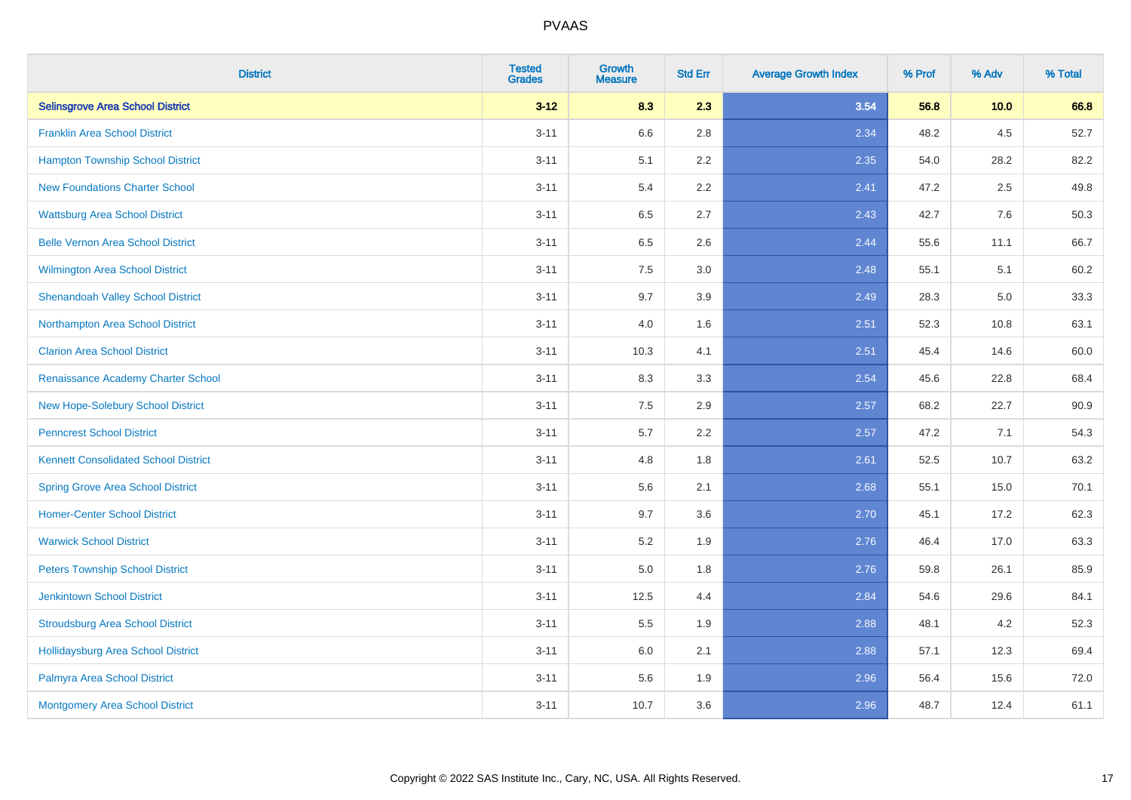| <b>District</b>                             | <b>Tested</b><br><b>Grades</b> | <b>Growth</b><br><b>Measure</b> | <b>Std Err</b> | <b>Average Growth Index</b> | % Prof | % Adv | % Total |
|---------------------------------------------|--------------------------------|---------------------------------|----------------|-----------------------------|--------|-------|---------|
| <b>Selinsgrove Area School District</b>     | $3 - 12$                       | 8.3                             | 2.3            | 3.54                        | 56.8   | 10.0  | 66.8    |
| <b>Franklin Area School District</b>        | $3 - 11$                       | 6.6                             | 2.8            | 2.34                        | 48.2   | 4.5   | 52.7    |
| <b>Hampton Township School District</b>     | $3 - 11$                       | 5.1                             | 2.2            | 2.35                        | 54.0   | 28.2  | 82.2    |
| <b>New Foundations Charter School</b>       | $3 - 11$                       | 5.4                             | 2.2            | 2.41                        | 47.2   | 2.5   | 49.8    |
| <b>Wattsburg Area School District</b>       | $3 - 11$                       | 6.5                             | 2.7            | 2.43                        | 42.7   | 7.6   | 50.3    |
| <b>Belle Vernon Area School District</b>    | $3 - 11$                       | 6.5                             | 2.6            | 2.44                        | 55.6   | 11.1  | 66.7    |
| Wilmington Area School District             | $3 - 11$                       | 7.5                             | 3.0            | 2.48                        | 55.1   | 5.1   | 60.2    |
| <b>Shenandoah Valley School District</b>    | $3 - 11$                       | 9.7                             | 3.9            | 2.49                        | 28.3   | 5.0   | 33.3    |
| Northampton Area School District            | $3 - 11$                       | 4.0                             | 1.6            | 2.51                        | 52.3   | 10.8  | 63.1    |
| <b>Clarion Area School District</b>         | $3 - 11$                       | 10.3                            | 4.1            | 2.51                        | 45.4   | 14.6  | 60.0    |
| Renaissance Academy Charter School          | $3 - 11$                       | 8.3                             | 3.3            | 2.54                        | 45.6   | 22.8  | 68.4    |
| New Hope-Solebury School District           | $3 - 11$                       | 7.5                             | 2.9            | 2.57                        | 68.2   | 22.7  | 90.9    |
| <b>Penncrest School District</b>            | $3 - 11$                       | 5.7                             | 2.2            | 2.57                        | 47.2   | 7.1   | 54.3    |
| <b>Kennett Consolidated School District</b> | $3 - 11$                       | 4.8                             | 1.8            | 2.61                        | 52.5   | 10.7  | 63.2    |
| <b>Spring Grove Area School District</b>    | $3 - 11$                       | 5.6                             | 2.1            | 2.68                        | 55.1   | 15.0  | 70.1    |
| <b>Homer-Center School District</b>         | $3 - 11$                       | 9.7                             | 3.6            | 2.70                        | 45.1   | 17.2  | 62.3    |
| <b>Warwick School District</b>              | $3 - 11$                       | 5.2                             | 1.9            | 2.76                        | 46.4   | 17.0  | 63.3    |
| <b>Peters Township School District</b>      | $3 - 11$                       | 5.0                             | 1.8            | 2.76                        | 59.8   | 26.1  | 85.9    |
| <b>Jenkintown School District</b>           | $3 - 11$                       | 12.5                            | 4.4            | 2.84                        | 54.6   | 29.6  | 84.1    |
| <b>Stroudsburg Area School District</b>     | $3 - 11$                       | 5.5                             | 1.9            | 2.88                        | 48.1   | 4.2   | 52.3    |
| <b>Hollidaysburg Area School District</b>   | $3 - 11$                       | 6.0                             | 2.1            | 2.88                        | 57.1   | 12.3  | 69.4    |
| Palmyra Area School District                | $3 - 11$                       | 5.6                             | 1.9            | 2.96                        | 56.4   | 15.6  | 72.0    |
| Montgomery Area School District             | $3 - 11$                       | 10.7                            | 3.6            | 2.96                        | 48.7   | 12.4  | 61.1    |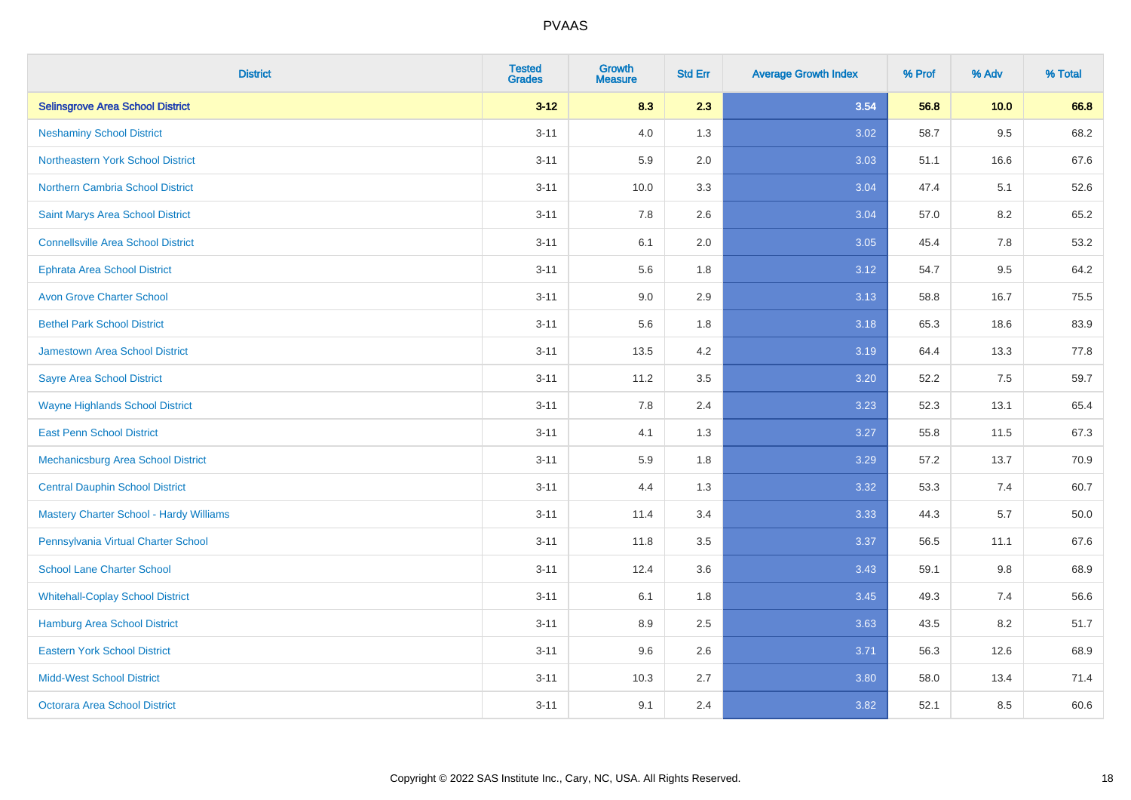| <b>District</b>                                | <b>Tested</b><br><b>Grades</b> | <b>Growth</b><br><b>Measure</b> | <b>Std Err</b> | <b>Average Growth Index</b> | % Prof | % Adv   | % Total |
|------------------------------------------------|--------------------------------|---------------------------------|----------------|-----------------------------|--------|---------|---------|
| <b>Selinsgrove Area School District</b>        | $3 - 12$                       | 8.3                             | 2.3            | 3.54                        | 56.8   | 10.0    | 66.8    |
| <b>Neshaminy School District</b>               | $3 - 11$                       | 4.0                             | 1.3            | 3.02                        | 58.7   | $9.5\,$ | 68.2    |
| Northeastern York School District              | $3 - 11$                       | 5.9                             | 2.0            | 3.03                        | 51.1   | 16.6    | 67.6    |
| <b>Northern Cambria School District</b>        | $3 - 11$                       | 10.0                            | 3.3            | 3.04                        | 47.4   | 5.1     | 52.6    |
| Saint Marys Area School District               | $3 - 11$                       | 7.8                             | 2.6            | 3.04                        | 57.0   | 8.2     | 65.2    |
| <b>Connellsville Area School District</b>      | $3 - 11$                       | 6.1                             | 2.0            | 3.05                        | 45.4   | 7.8     | 53.2    |
| <b>Ephrata Area School District</b>            | $3 - 11$                       | 5.6                             | 1.8            | 3.12                        | 54.7   | 9.5     | 64.2    |
| <b>Avon Grove Charter School</b>               | $3 - 11$                       | 9.0                             | 2.9            | 3.13                        | 58.8   | 16.7    | 75.5    |
| <b>Bethel Park School District</b>             | $3 - 11$                       | 5.6                             | 1.8            | 3.18                        | 65.3   | 18.6    | 83.9    |
| <b>Jamestown Area School District</b>          | $3 - 11$                       | 13.5                            | 4.2            | 3.19                        | 64.4   | 13.3    | 77.8    |
| <b>Sayre Area School District</b>              | $3 - 11$                       | 11.2                            | 3.5            | 3.20                        | 52.2   | 7.5     | 59.7    |
| <b>Wayne Highlands School District</b>         | $3 - 11$                       | 7.8                             | 2.4            | 3.23                        | 52.3   | 13.1    | 65.4    |
| <b>East Penn School District</b>               | $3 - 11$                       | 4.1                             | 1.3            | 3.27                        | 55.8   | 11.5    | 67.3    |
| <b>Mechanicsburg Area School District</b>      | $3 - 11$                       | 5.9                             | 1.8            | 3.29                        | 57.2   | 13.7    | 70.9    |
| <b>Central Dauphin School District</b>         | $3 - 11$                       | 4.4                             | 1.3            | 3.32                        | 53.3   | 7.4     | 60.7    |
| <b>Mastery Charter School - Hardy Williams</b> | $3 - 11$                       | 11.4                            | 3.4            | 3.33                        | 44.3   | 5.7     | 50.0    |
| Pennsylvania Virtual Charter School            | $3 - 11$                       | 11.8                            | 3.5            | 3.37                        | 56.5   | 11.1    | 67.6    |
| <b>School Lane Charter School</b>              | $3 - 11$                       | 12.4                            | 3.6            | 3.43                        | 59.1   | 9.8     | 68.9    |
| <b>Whitehall-Coplay School District</b>        | $3 - 11$                       | 6.1                             | 1.8            | 3.45                        | 49.3   | 7.4     | 56.6    |
| <b>Hamburg Area School District</b>            | $3 - 11$                       | 8.9                             | 2.5            | 3.63                        | 43.5   | 8.2     | 51.7    |
| <b>Eastern York School District</b>            | $3 - 11$                       | 9.6                             | 2.6            | 3.71                        | 56.3   | 12.6    | 68.9    |
| <b>Midd-West School District</b>               | $3 - 11$                       | 10.3                            | 2.7            | 3.80                        | 58.0   | 13.4    | 71.4    |
| <b>Octorara Area School District</b>           | $3 - 11$                       | 9.1                             | 2.4            | 3.82                        | 52.1   | 8.5     | 60.6    |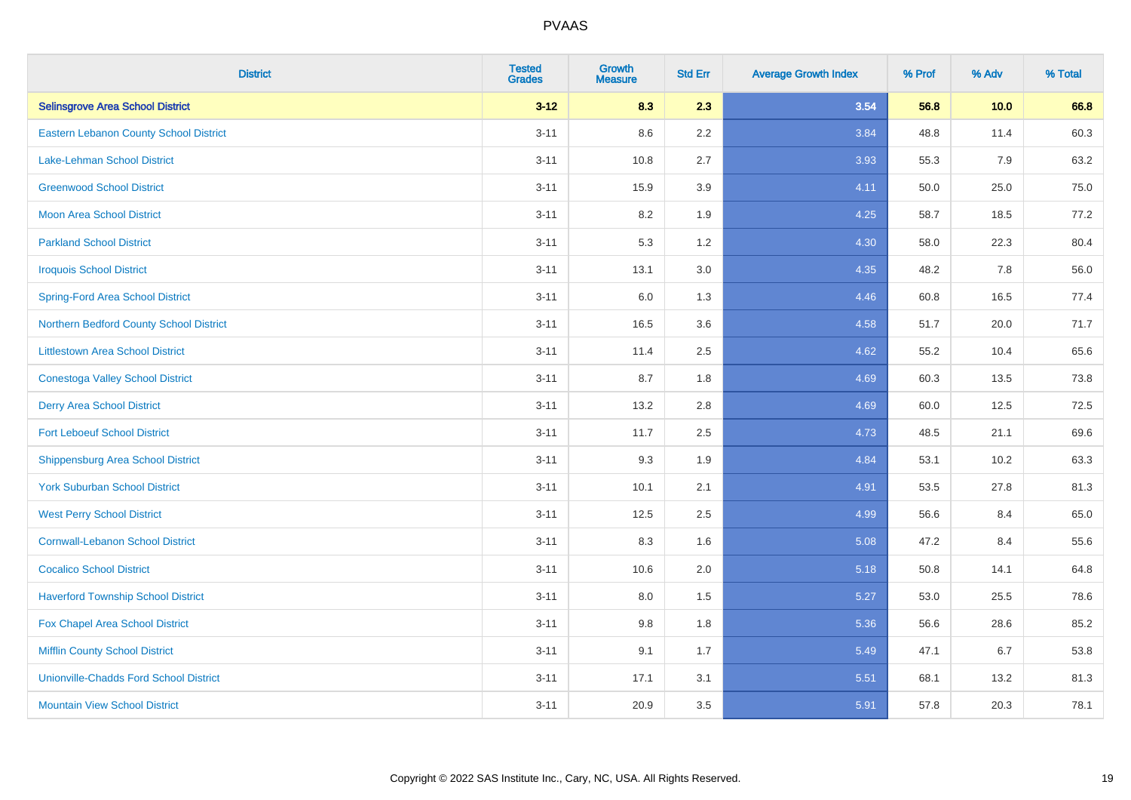| <b>District</b>                               | <b>Tested</b><br><b>Grades</b> | <b>Growth</b><br><b>Measure</b> | <b>Std Err</b> | <b>Average Growth Index</b> | % Prof | % Adv | % Total |
|-----------------------------------------------|--------------------------------|---------------------------------|----------------|-----------------------------|--------|-------|---------|
| <b>Selinsgrove Area School District</b>       | $3 - 12$                       | 8.3                             | 2.3            | 3.54                        | 56.8   | 10.0  | 66.8    |
| <b>Eastern Lebanon County School District</b> | $3 - 11$                       | 8.6                             | 2.2            | 3.84                        | 48.8   | 11.4  | 60.3    |
| <b>Lake-Lehman School District</b>            | $3 - 11$                       | 10.8                            | 2.7            | 3.93                        | 55.3   | 7.9   | 63.2    |
| <b>Greenwood School District</b>              | $3 - 11$                       | 15.9                            | 3.9            | 4.11                        | 50.0   | 25.0  | 75.0    |
| <b>Moon Area School District</b>              | $3 - 11$                       | 8.2                             | 1.9            | 4.25                        | 58.7   | 18.5  | 77.2    |
| <b>Parkland School District</b>               | $3 - 11$                       | 5.3                             | 1.2            | 4.30                        | 58.0   | 22.3  | 80.4    |
| <b>Iroquois School District</b>               | $3 - 11$                       | 13.1                            | 3.0            | 4.35                        | 48.2   | 7.8   | 56.0    |
| <b>Spring-Ford Area School District</b>       | $3 - 11$                       | 6.0                             | 1.3            | 4.46                        | 60.8   | 16.5  | 77.4    |
| Northern Bedford County School District       | $3 - 11$                       | 16.5                            | 3.6            | 4.58                        | 51.7   | 20.0  | 71.7    |
| <b>Littlestown Area School District</b>       | $3 - 11$                       | 11.4                            | 2.5            | 4.62                        | 55.2   | 10.4  | 65.6    |
| <b>Conestoga Valley School District</b>       | $3 - 11$                       | 8.7                             | 1.8            | 4.69                        | 60.3   | 13.5  | 73.8    |
| <b>Derry Area School District</b>             | $3 - 11$                       | 13.2                            | 2.8            | 4.69                        | 60.0   | 12.5  | 72.5    |
| <b>Fort Leboeuf School District</b>           | $3 - 11$                       | 11.7                            | 2.5            | 4.73                        | 48.5   | 21.1  | 69.6    |
| <b>Shippensburg Area School District</b>      | $3 - 11$                       | 9.3                             | 1.9            | 4.84                        | 53.1   | 10.2  | 63.3    |
| <b>York Suburban School District</b>          | $3 - 11$                       | 10.1                            | 2.1            | 4.91                        | 53.5   | 27.8  | 81.3    |
| <b>West Perry School District</b>             | $3 - 11$                       | 12.5                            | 2.5            | 4.99                        | 56.6   | 8.4   | 65.0    |
| <b>Cornwall-Lebanon School District</b>       | $3 - 11$                       | 8.3                             | 1.6            | 5.08                        | 47.2   | 8.4   | 55.6    |
| <b>Cocalico School District</b>               | $3 - 11$                       | 10.6                            | 2.0            | 5.18                        | 50.8   | 14.1  | 64.8    |
| <b>Haverford Township School District</b>     | $3 - 11$                       | 8.0                             | 1.5            | 5.27                        | 53.0   | 25.5  | 78.6    |
| Fox Chapel Area School District               | $3 - 11$                       | 9.8                             | 1.8            | 5.36                        | 56.6   | 28.6  | 85.2    |
| <b>Mifflin County School District</b>         | $3 - 11$                       | 9.1                             | 1.7            | 5.49                        | 47.1   | 6.7   | 53.8    |
| <b>Unionville-Chadds Ford School District</b> | $3 - 11$                       | 17.1                            | 3.1            | 5.51                        | 68.1   | 13.2  | 81.3    |
| <b>Mountain View School District</b>          | $3 - 11$                       | 20.9                            | 3.5            | 5.91                        | 57.8   | 20.3  | 78.1    |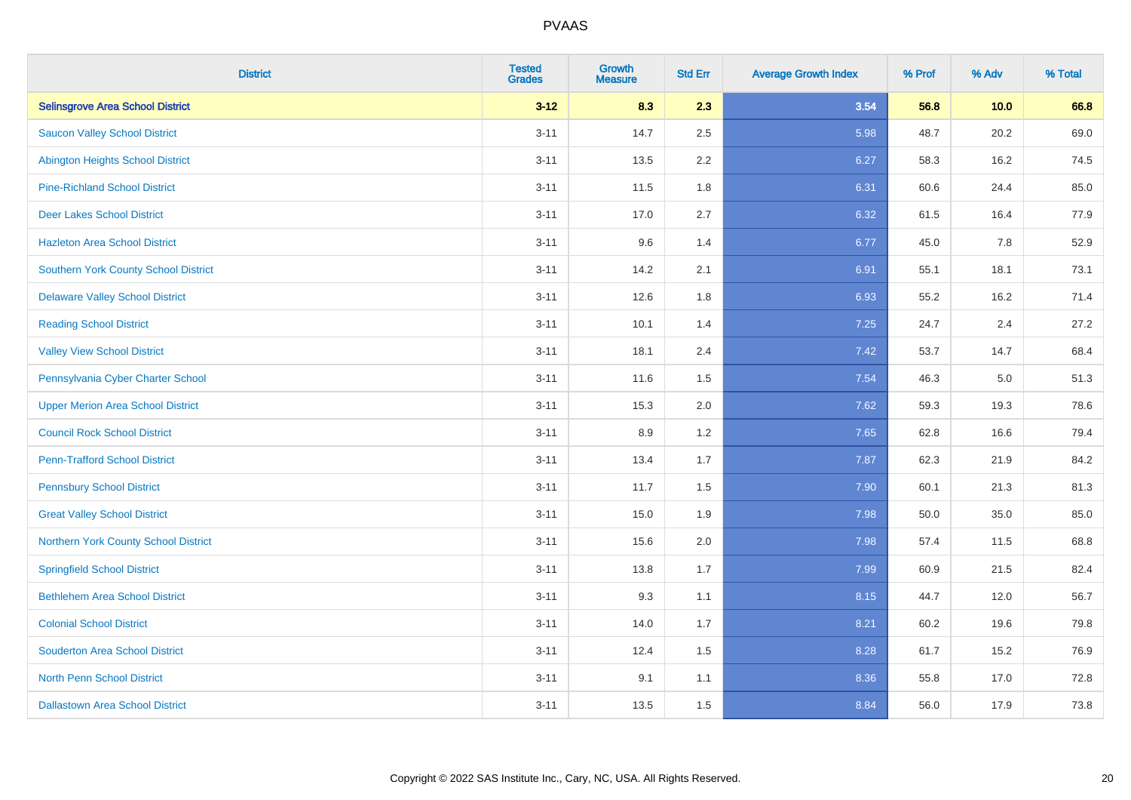| <b>District</b>                          | <b>Tested</b><br><b>Grades</b> | <b>Growth</b><br><b>Measure</b> | <b>Std Err</b> | <b>Average Growth Index</b> | % Prof | % Adv | % Total |
|------------------------------------------|--------------------------------|---------------------------------|----------------|-----------------------------|--------|-------|---------|
| <b>Selinsgrove Area School District</b>  | $3 - 12$                       | 8.3                             | 2.3            | 3.54                        | 56.8   | 10.0  | 66.8    |
| <b>Saucon Valley School District</b>     | $3 - 11$                       | 14.7                            | 2.5            | 5.98                        | 48.7   | 20.2  | 69.0    |
| <b>Abington Heights School District</b>  | $3 - 11$                       | 13.5                            | 2.2            | 6.27                        | 58.3   | 16.2  | 74.5    |
| <b>Pine-Richland School District</b>     | $3 - 11$                       | 11.5                            | 1.8            | 6.31                        | 60.6   | 24.4  | 85.0    |
| <b>Deer Lakes School District</b>        | $3 - 11$                       | 17.0                            | 2.7            | 6.32                        | 61.5   | 16.4  | 77.9    |
| <b>Hazleton Area School District</b>     | $3 - 11$                       | 9.6                             | 1.4            | 6.77                        | 45.0   | 7.8   | 52.9    |
| Southern York County School District     | $3 - 11$                       | 14.2                            | 2.1            | 6.91                        | 55.1   | 18.1  | 73.1    |
| <b>Delaware Valley School District</b>   | $3 - 11$                       | 12.6                            | 1.8            | 6.93                        | 55.2   | 16.2  | 71.4    |
| <b>Reading School District</b>           | $3 - 11$                       | 10.1                            | 1.4            | 7.25                        | 24.7   | 2.4   | 27.2    |
| <b>Valley View School District</b>       | $3 - 11$                       | 18.1                            | 2.4            | 7.42                        | 53.7   | 14.7  | 68.4    |
| Pennsylvania Cyber Charter School        | $3 - 11$                       | 11.6                            | 1.5            | 7.54                        | 46.3   | 5.0   | 51.3    |
| <b>Upper Merion Area School District</b> | $3 - 11$                       | 15.3                            | 2.0            | 7.62                        | 59.3   | 19.3  | 78.6    |
| <b>Council Rock School District</b>      | $3 - 11$                       | 8.9                             | 1.2            | 7.65                        | 62.8   | 16.6  | 79.4    |
| <b>Penn-Trafford School District</b>     | $3 - 11$                       | 13.4                            | 1.7            | 7.87                        | 62.3   | 21.9  | 84.2    |
| <b>Pennsbury School District</b>         | $3 - 11$                       | 11.7                            | 1.5            | 7.90                        | 60.1   | 21.3  | 81.3    |
| <b>Great Valley School District</b>      | $3 - 11$                       | 15.0                            | 1.9            | 7.98                        | 50.0   | 35.0  | 85.0    |
| Northern York County School District     | $3 - 11$                       | 15.6                            | 2.0            | 7.98                        | 57.4   | 11.5  | 68.8    |
| <b>Springfield School District</b>       | $3 - 11$                       | 13.8                            | 1.7            | 7.99                        | 60.9   | 21.5  | 82.4    |
| <b>Bethlehem Area School District</b>    | $3 - 11$                       | 9.3                             | 1.1            | 8.15                        | 44.7   | 12.0  | 56.7    |
| <b>Colonial School District</b>          | $3 - 11$                       | 14.0                            | 1.7            | 8.21                        | 60.2   | 19.6  | 79.8    |
| <b>Souderton Area School District</b>    | $3 - 11$                       | 12.4                            | 1.5            | 8.28                        | 61.7   | 15.2  | 76.9    |
| <b>North Penn School District</b>        | $3 - 11$                       | 9.1                             | 1.1            | 8.36                        | 55.8   | 17.0  | 72.8    |
| <b>Dallastown Area School District</b>   | $3 - 11$                       | 13.5                            | 1.5            | 8.84                        | 56.0   | 17.9  | 73.8    |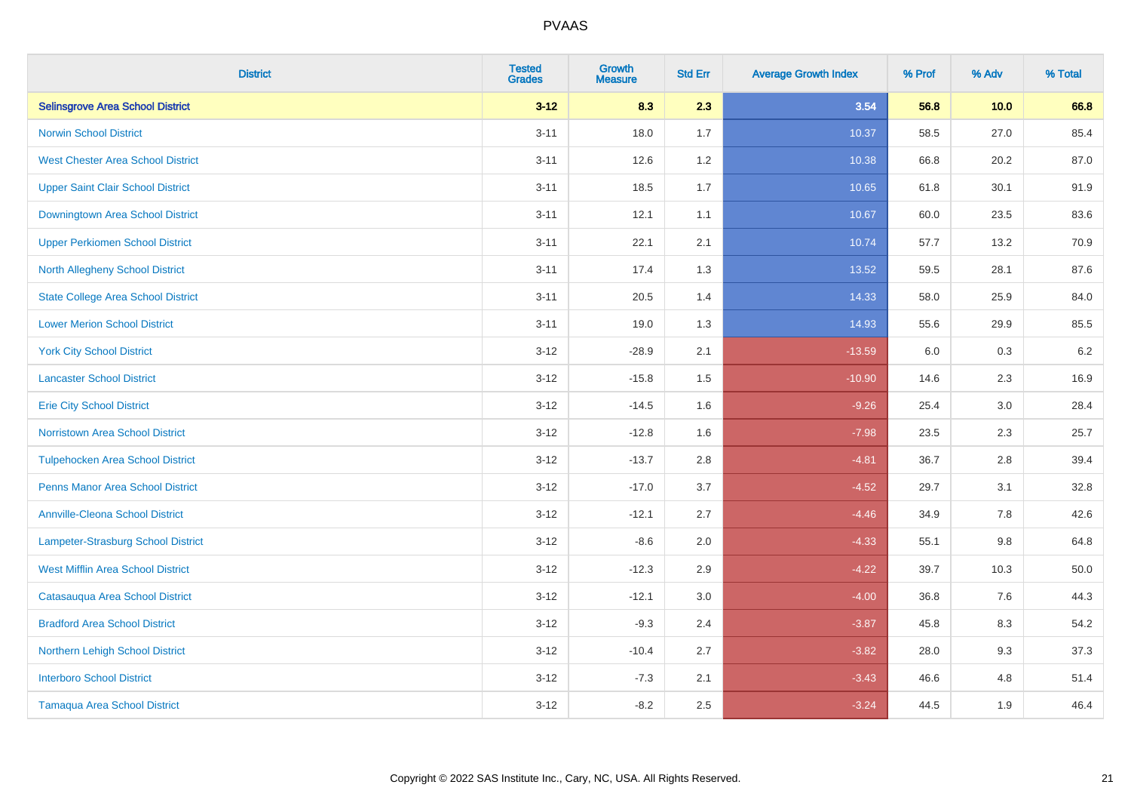| <b>District</b>                           | <b>Tested</b><br><b>Grades</b> | <b>Growth</b><br><b>Measure</b> | <b>Std Err</b> | <b>Average Growth Index</b> | % Prof | % Adv   | % Total |
|-------------------------------------------|--------------------------------|---------------------------------|----------------|-----------------------------|--------|---------|---------|
| <b>Selinsgrove Area School District</b>   | $3 - 12$                       | 8.3                             | 2.3            | 3.54                        | 56.8   | 10.0    | 66.8    |
| <b>Norwin School District</b>             | $3 - 11$                       | 18.0                            | 1.7            | 10.37                       | 58.5   | 27.0    | 85.4    |
| <b>West Chester Area School District</b>  | $3 - 11$                       | 12.6                            | 1.2            | 10.38                       | 66.8   | 20.2    | 87.0    |
| <b>Upper Saint Clair School District</b>  | $3 - 11$                       | 18.5                            | 1.7            | 10.65                       | 61.8   | 30.1    | 91.9    |
| <b>Downingtown Area School District</b>   | $3 - 11$                       | 12.1                            | 1.1            | 10.67                       | 60.0   | 23.5    | 83.6    |
| <b>Upper Perkiomen School District</b>    | $3 - 11$                       | 22.1                            | 2.1            | 10.74                       | 57.7   | 13.2    | 70.9    |
| <b>North Allegheny School District</b>    | $3 - 11$                       | 17.4                            | 1.3            | 13.52                       | 59.5   | 28.1    | 87.6    |
| <b>State College Area School District</b> | $3 - 11$                       | 20.5                            | 1.4            | 14.33                       | 58.0   | 25.9    | 84.0    |
| <b>Lower Merion School District</b>       | $3 - 11$                       | 19.0                            | 1.3            | 14.93                       | 55.6   | 29.9    | 85.5    |
| <b>York City School District</b>          | $3 - 12$                       | $-28.9$                         | 2.1            | $-13.59$                    | 6.0    | 0.3     | 6.2     |
| <b>Lancaster School District</b>          | $3 - 12$                       | $-15.8$                         | 1.5            | $-10.90$                    | 14.6   | 2.3     | 16.9    |
| <b>Erie City School District</b>          | $3 - 12$                       | $-14.5$                         | 1.6            | $-9.26$                     | 25.4   | 3.0     | 28.4    |
| Norristown Area School District           | $3 - 12$                       | $-12.8$                         | 1.6            | $-7.98$                     | 23.5   | $2.3\,$ | 25.7    |
| <b>Tulpehocken Area School District</b>   | $3 - 12$                       | $-13.7$                         | 2.8            | $-4.81$                     | 36.7   | 2.8     | 39.4    |
| <b>Penns Manor Area School District</b>   | $3 - 12$                       | $-17.0$                         | 3.7            | $-4.52$                     | 29.7   | 3.1     | 32.8    |
| <b>Annville-Cleona School District</b>    | $3 - 12$                       | $-12.1$                         | 2.7            | $-4.46$                     | 34.9   | $7.8\,$ | 42.6    |
| Lampeter-Strasburg School District        | $3 - 12$                       | $-8.6$                          | 2.0            | $-4.33$                     | 55.1   | 9.8     | 64.8    |
| <b>West Mifflin Area School District</b>  | $3 - 12$                       | $-12.3$                         | 2.9            | $-4.22$                     | 39.7   | 10.3    | 50.0    |
| Catasauqua Area School District           | $3 - 12$                       | $-12.1$                         | 3.0            | $-4.00$                     | 36.8   | 7.6     | 44.3    |
| <b>Bradford Area School District</b>      | $3 - 12$                       | $-9.3$                          | 2.4            | $-3.87$                     | 45.8   | 8.3     | 54.2    |
| Northern Lehigh School District           | $3 - 12$                       | $-10.4$                         | 2.7            | $-3.82$                     | 28.0   | 9.3     | 37.3    |
| <b>Interboro School District</b>          | $3 - 12$                       | $-7.3$                          | 2.1            | $-3.43$                     | 46.6   | 4.8     | 51.4    |
| <b>Tamaqua Area School District</b>       | $3 - 12$                       | $-8.2$                          | 2.5            | $-3.24$                     | 44.5   | 1.9     | 46.4    |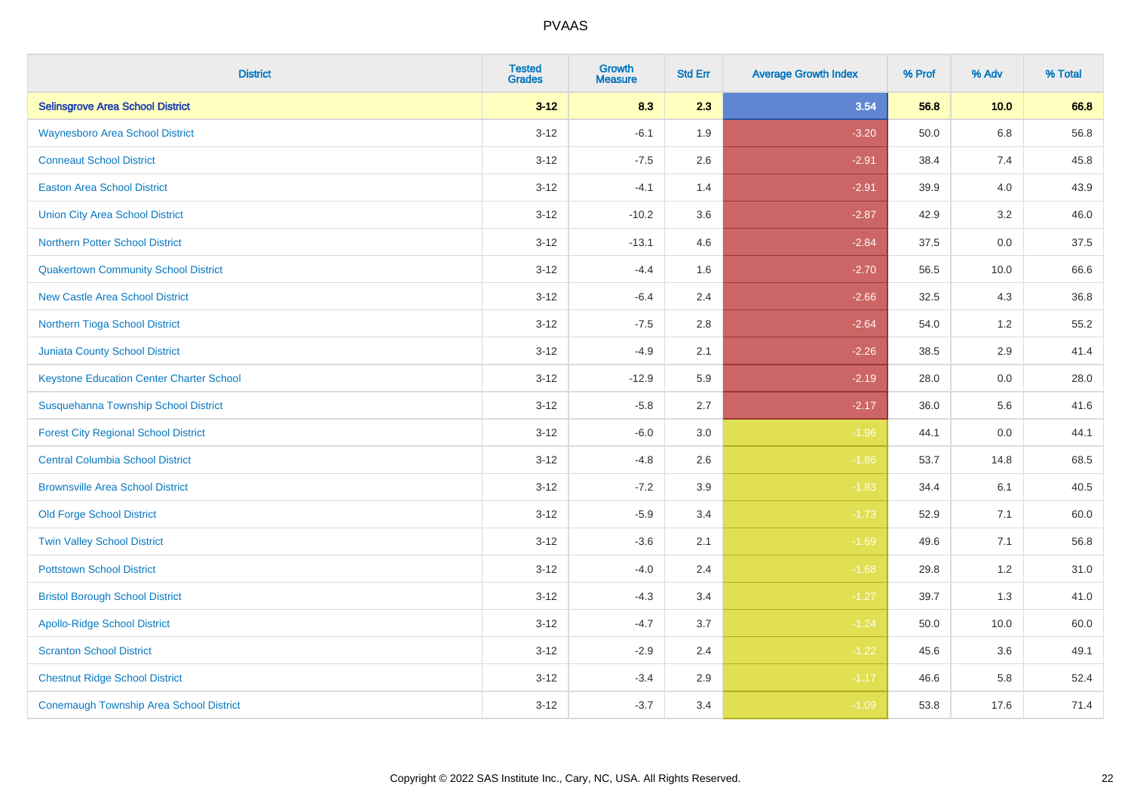| <b>District</b>                                 | <b>Tested</b><br><b>Grades</b> | <b>Growth</b><br><b>Measure</b> | <b>Std Err</b> | <b>Average Growth Index</b> | % Prof | % Adv   | % Total |
|-------------------------------------------------|--------------------------------|---------------------------------|----------------|-----------------------------|--------|---------|---------|
| <b>Selinsgrove Area School District</b>         | $3 - 12$                       | 8.3                             | 2.3            | 3.54                        | 56.8   | 10.0    | 66.8    |
| <b>Waynesboro Area School District</b>          | $3 - 12$                       | $-6.1$                          | 1.9            | $-3.20$                     | 50.0   | $6.8\,$ | 56.8    |
| <b>Conneaut School District</b>                 | $3 - 12$                       | $-7.5$                          | 2.6            | $-2.91$                     | 38.4   | 7.4     | 45.8    |
| <b>Easton Area School District</b>              | $3 - 12$                       | $-4.1$                          | 1.4            | $-2.91$                     | 39.9   | 4.0     | 43.9    |
| <b>Union City Area School District</b>          | $3-12$                         | $-10.2$                         | 3.6            | $-2.87$                     | 42.9   | 3.2     | 46.0    |
| <b>Northern Potter School District</b>          | $3 - 12$                       | $-13.1$                         | 4.6            | $-2.84$                     | 37.5   | 0.0     | 37.5    |
| <b>Quakertown Community School District</b>     | $3 - 12$                       | $-4.4$                          | 1.6            | $-2.70$                     | 56.5   | 10.0    | 66.6    |
| <b>New Castle Area School District</b>          | $3 - 12$                       | $-6.4$                          | 2.4            | $-2.66$                     | 32.5   | 4.3     | 36.8    |
| Northern Tioga School District                  | $3 - 12$                       | $-7.5$                          | 2.8            | $-2.64$                     | 54.0   | 1.2     | 55.2    |
| <b>Juniata County School District</b>           | $3 - 12$                       | $-4.9$                          | 2.1            | $-2.26$                     | 38.5   | 2.9     | 41.4    |
| <b>Keystone Education Center Charter School</b> | $3 - 12$                       | $-12.9$                         | 5.9            | $-2.19$                     | 28.0   | 0.0     | 28.0    |
| Susquehanna Township School District            | $3 - 12$                       | $-5.8$                          | 2.7            | $-2.17$                     | 36.0   | 5.6     | 41.6    |
| <b>Forest City Regional School District</b>     | $3 - 12$                       | $-6.0$                          | $3.0\,$        | $-1.96$                     | 44.1   | $0.0\,$ | 44.1    |
| <b>Central Columbia School District</b>         | $3 - 12$                       | $-4.8$                          | 2.6            | $-1.86$                     | 53.7   | 14.8    | 68.5    |
| <b>Brownsville Area School District</b>         | $3 - 12$                       | $-7.2$                          | 3.9            | $-1.83$                     | 34.4   | 6.1     | 40.5    |
| <b>Old Forge School District</b>                | $3 - 12$                       | $-5.9$                          | 3.4            | $-1.73$                     | 52.9   | 7.1     | 60.0    |
| <b>Twin Valley School District</b>              | $3 - 12$                       | $-3.6$                          | 2.1            | $-1.69$                     | 49.6   | 7.1     | 56.8    |
| <b>Pottstown School District</b>                | $3 - 12$                       | $-4.0$                          | 2.4            | $-1.68$                     | 29.8   | 1.2     | 31.0    |
| <b>Bristol Borough School District</b>          | $3 - 12$                       | $-4.3$                          | 3.4            | $-1.27$                     | 39.7   | 1.3     | 41.0    |
| <b>Apollo-Ridge School District</b>             | $3 - 12$                       | $-4.7$                          | 3.7            | $-1.24$                     | 50.0   | 10.0    | 60.0    |
| <b>Scranton School District</b>                 | $3-12$                         | $-2.9$                          | 2.4            | $-1.22$                     | 45.6   | 3.6     | 49.1    |
| <b>Chestnut Ridge School District</b>           | $3 - 12$                       | $-3.4$                          | 2.9            | $-1.17$                     | 46.6   | 5.8     | 52.4    |
| <b>Conemaugh Township Area School District</b>  | $3 - 12$                       | $-3.7$                          | 3.4            | $-1.09$                     | 53.8   | 17.6    | 71.4    |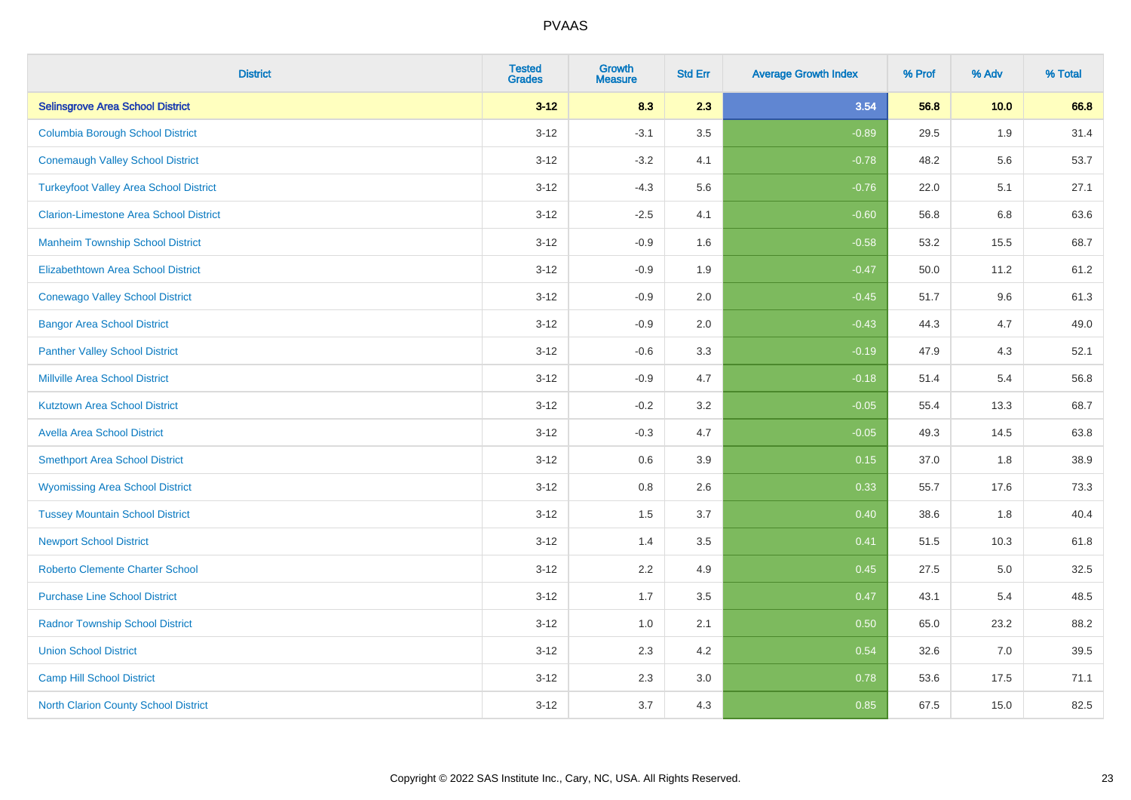| <b>District</b>                               | <b>Tested</b><br><b>Grades</b> | <b>Growth</b><br><b>Measure</b> | <b>Std Err</b> | <b>Average Growth Index</b> | % Prof | % Adv | % Total |
|-----------------------------------------------|--------------------------------|---------------------------------|----------------|-----------------------------|--------|-------|---------|
| <b>Selinsgrove Area School District</b>       | $3 - 12$                       | 8.3                             | 2.3            | 3.54                        | 56.8   | 10.0  | 66.8    |
| <b>Columbia Borough School District</b>       | $3 - 12$                       | $-3.1$                          | 3.5            | $-0.89$                     | 29.5   | 1.9   | 31.4    |
| <b>Conemaugh Valley School District</b>       | $3 - 12$                       | $-3.2$                          | 4.1            | $-0.78$                     | 48.2   | 5.6   | 53.7    |
| <b>Turkeyfoot Valley Area School District</b> | $3 - 12$                       | $-4.3$                          | 5.6            | $-0.76$                     | 22.0   | 5.1   | 27.1    |
| <b>Clarion-Limestone Area School District</b> | $3 - 12$                       | $-2.5$                          | 4.1            | $-0.60$                     | 56.8   | 6.8   | 63.6    |
| <b>Manheim Township School District</b>       | $3 - 12$                       | $-0.9$                          | 1.6            | $-0.58$                     | 53.2   | 15.5  | 68.7    |
| Elizabethtown Area School District            | $3 - 12$                       | $-0.9$                          | 1.9            | $-0.47$                     | 50.0   | 11.2  | 61.2    |
| <b>Conewago Valley School District</b>        | $3 - 12$                       | $-0.9$                          | 2.0            | $-0.45$                     | 51.7   | 9.6   | 61.3    |
| <b>Bangor Area School District</b>            | $3 - 12$                       | $-0.9$                          | 2.0            | $-0.43$                     | 44.3   | 4.7   | 49.0    |
| <b>Panther Valley School District</b>         | $3 - 12$                       | $-0.6$                          | 3.3            | $-0.19$                     | 47.9   | 4.3   | 52.1    |
| <b>Millville Area School District</b>         | $3 - 12$                       | $-0.9$                          | 4.7            | $-0.18$                     | 51.4   | 5.4   | 56.8    |
| <b>Kutztown Area School District</b>          | $3 - 12$                       | $-0.2$                          | 3.2            | $-0.05$                     | 55.4   | 13.3  | 68.7    |
| <b>Avella Area School District</b>            | $3 - 12$                       | $-0.3$                          | 4.7            | $-0.05$                     | 49.3   | 14.5  | 63.8    |
| <b>Smethport Area School District</b>         | $3 - 12$                       | $0.6\,$                         | 3.9            | 0.15                        | 37.0   | 1.8   | 38.9    |
| <b>Wyomissing Area School District</b>        | $3 - 12$                       | 0.8                             | 2.6            | 0.33                        | 55.7   | 17.6  | 73.3    |
| <b>Tussey Mountain School District</b>        | $3 - 12$                       | 1.5                             | 3.7            | 0.40                        | 38.6   | 1.8   | 40.4    |
| <b>Newport School District</b>                | $3 - 12$                       | 1.4                             | 3.5            | 0.41                        | 51.5   | 10.3  | 61.8    |
| <b>Roberto Clemente Charter School</b>        | $3 - 12$                       | 2.2                             | 4.9            | 0.45                        | 27.5   | 5.0   | 32.5    |
| <b>Purchase Line School District</b>          | $3 - 12$                       | 1.7                             | 3.5            | 0.47                        | 43.1   | 5.4   | 48.5    |
| <b>Radnor Township School District</b>        | $3 - 12$                       | 1.0                             | 2.1            | 0.50                        | 65.0   | 23.2  | 88.2    |
| <b>Union School District</b>                  | $3 - 12$                       | 2.3                             | 4.2            | 0.54                        | 32.6   | 7.0   | 39.5    |
| <b>Camp Hill School District</b>              | $3 - 12$                       | 2.3                             | 3.0            | 0.78                        | 53.6   | 17.5  | 71.1    |
| <b>North Clarion County School District</b>   | $3 - 12$                       | 3.7                             | 4.3            | 0.85                        | 67.5   | 15.0  | 82.5    |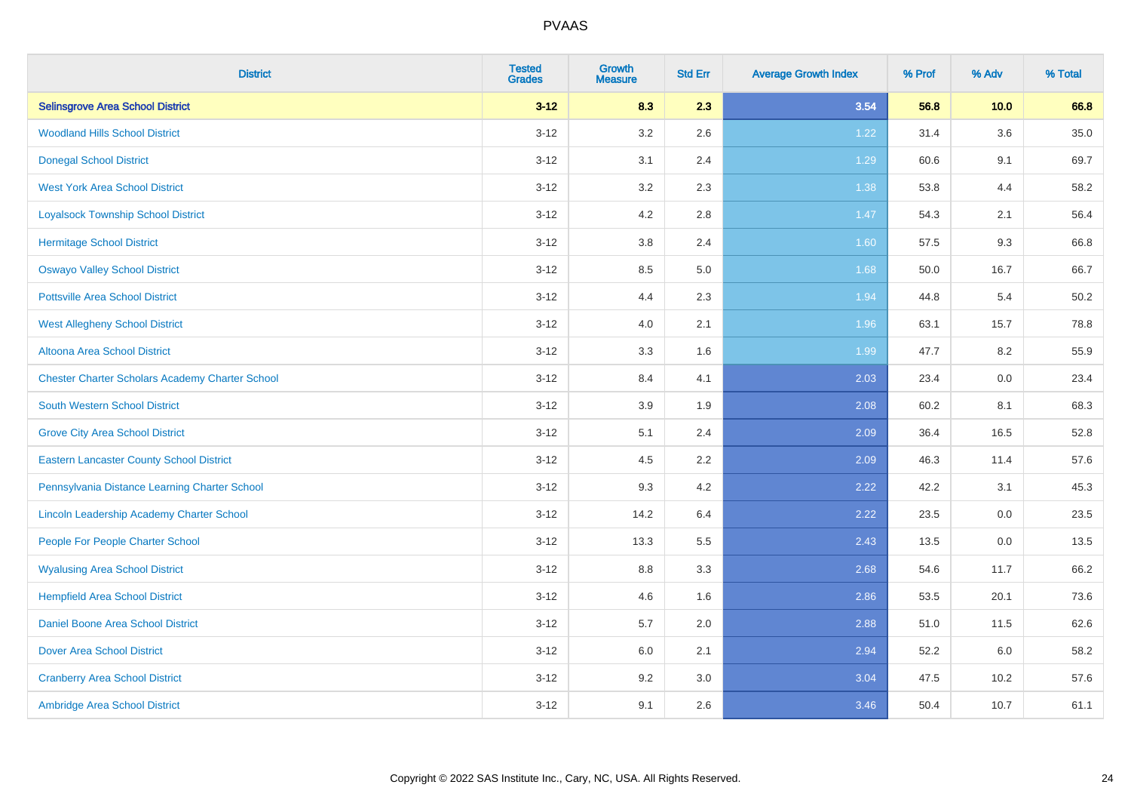| <b>District</b>                                        | <b>Tested</b><br><b>Grades</b> | <b>Growth</b><br><b>Measure</b> | <b>Std Err</b> | <b>Average Growth Index</b> | % Prof | % Adv | % Total |
|--------------------------------------------------------|--------------------------------|---------------------------------|----------------|-----------------------------|--------|-------|---------|
| <b>Selinsgrove Area School District</b>                | $3 - 12$                       | 8.3                             | 2.3            | 3.54                        | 56.8   | 10.0  | 66.8    |
| <b>Woodland Hills School District</b>                  | $3 - 12$                       | 3.2                             | 2.6            | 1.22                        | 31.4   | 3.6   | 35.0    |
| <b>Donegal School District</b>                         | $3 - 12$                       | 3.1                             | 2.4            | 1.29                        | 60.6   | 9.1   | 69.7    |
| <b>West York Area School District</b>                  | $3-12$                         | 3.2                             | 2.3            | 1.38                        | 53.8   | 4.4   | 58.2    |
| <b>Loyalsock Township School District</b>              | $3 - 12$                       | 4.2                             | 2.8            | 1.47                        | 54.3   | 2.1   | 56.4    |
| <b>Hermitage School District</b>                       | $3 - 12$                       | $3.8\,$                         | 2.4            | 1.60                        | 57.5   | 9.3   | 66.8    |
| <b>Oswayo Valley School District</b>                   | $3 - 12$                       | 8.5                             | 5.0            | 1.68                        | 50.0   | 16.7  | 66.7    |
| <b>Pottsville Area School District</b>                 | $3 - 12$                       | 4.4                             | 2.3            | 1.94                        | 44.8   | 5.4   | 50.2    |
| <b>West Allegheny School District</b>                  | $3 - 12$                       | 4.0                             | 2.1            | 1.96                        | 63.1   | 15.7  | 78.8    |
| <b>Altoona Area School District</b>                    | $3 - 12$                       | 3.3                             | 1.6            | 1.99                        | 47.7   | 8.2   | 55.9    |
| <b>Chester Charter Scholars Academy Charter School</b> | $3 - 12$                       | 8.4                             | 4.1            | 2.03                        | 23.4   | 0.0   | 23.4    |
| South Western School District                          | $3 - 12$                       | 3.9                             | 1.9            | 2.08                        | 60.2   | 8.1   | 68.3    |
| <b>Grove City Area School District</b>                 | $3 - 12$                       | 5.1                             | 2.4            | 2.09                        | 36.4   | 16.5  | 52.8    |
| <b>Eastern Lancaster County School District</b>        | $3 - 12$                       | 4.5                             | 2.2            | 2.09                        | 46.3   | 11.4  | 57.6    |
| Pennsylvania Distance Learning Charter School          | $3 - 12$                       | 9.3                             | 4.2            | 2.22                        | 42.2   | 3.1   | 45.3    |
| Lincoln Leadership Academy Charter School              | $3 - 12$                       | 14.2                            | 6.4            | 2.22                        | 23.5   | 0.0   | 23.5    |
| People For People Charter School                       | $3 - 12$                       | 13.3                            | 5.5            | 2.43                        | 13.5   | 0.0   | 13.5    |
| <b>Wyalusing Area School District</b>                  | $3 - 12$                       | 8.8                             | 3.3            | 2.68                        | 54.6   | 11.7  | 66.2    |
| <b>Hempfield Area School District</b>                  | $3 - 12$                       | 4.6                             | 1.6            | 2.86                        | 53.5   | 20.1  | 73.6    |
| Daniel Boone Area School District                      | $3 - 12$                       | 5.7                             | 2.0            | 2.88                        | 51.0   | 11.5  | 62.6    |
| <b>Dover Area School District</b>                      | $3-12$                         | 6.0                             | 2.1            | 2.94                        | 52.2   | 6.0   | 58.2    |
| <b>Cranberry Area School District</b>                  | $3 - 12$                       | 9.2                             | 3.0            | 3.04                        | 47.5   | 10.2  | 57.6    |
| Ambridge Area School District                          | $3 - 12$                       | 9.1                             | 2.6            | 3.46                        | 50.4   | 10.7  | 61.1    |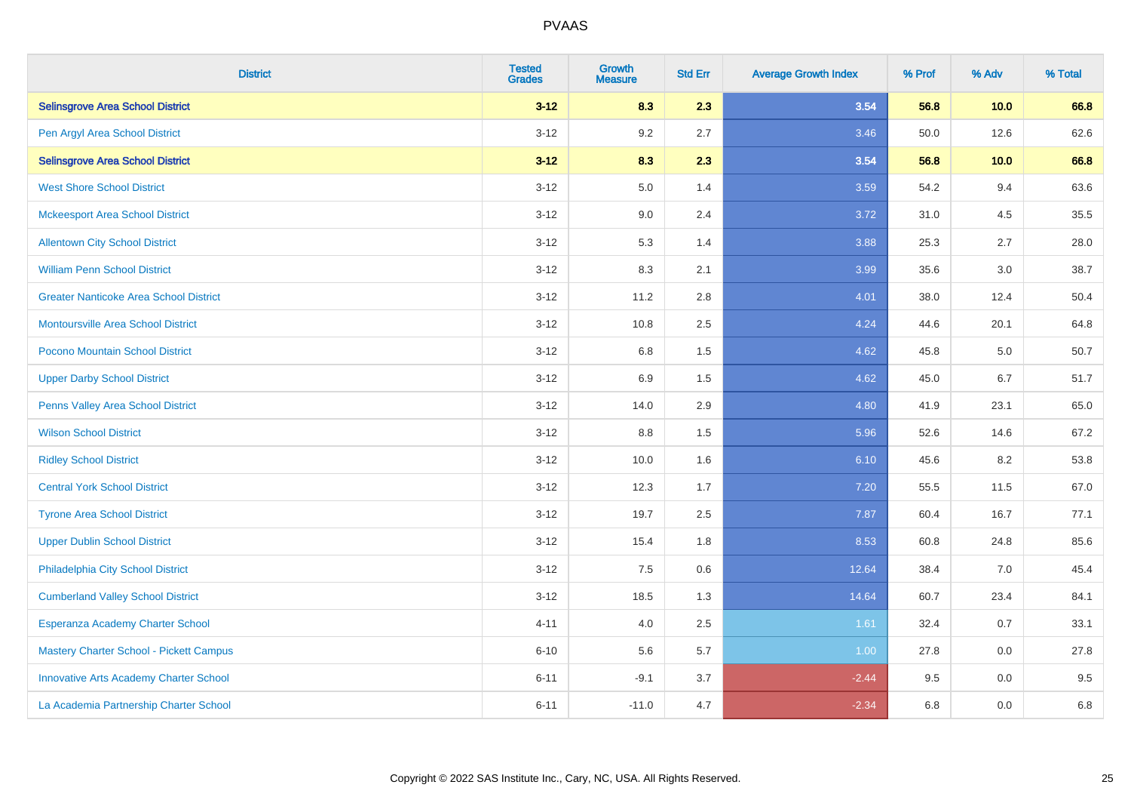| <b>District</b>                               | <b>Tested</b><br><b>Grades</b> | <b>Growth</b><br><b>Measure</b> | <b>Std Err</b> | <b>Average Growth Index</b> | % Prof | % Adv   | % Total |
|-----------------------------------------------|--------------------------------|---------------------------------|----------------|-----------------------------|--------|---------|---------|
| <b>Selinsgrove Area School District</b>       | $3 - 12$                       | 8.3                             | 2.3            | 3.54                        | 56.8   | 10.0    | 66.8    |
| Pen Argyl Area School District                | $3 - 12$                       | 9.2                             | 2.7            | 3.46                        | 50.0   | 12.6    | 62.6    |
| <b>Selinsgrove Area School District</b>       | $3 - 12$                       | 8.3                             | 2.3            | 3.54                        | 56.8   | 10.0    | 66.8    |
| <b>West Shore School District</b>             | $3 - 12$                       | 5.0                             | 1.4            | 3.59                        | 54.2   | 9.4     | 63.6    |
| <b>Mckeesport Area School District</b>        | $3 - 12$                       | 9.0                             | 2.4            | 3.72                        | 31.0   | 4.5     | 35.5    |
| <b>Allentown City School District</b>         | $3 - 12$                       | 5.3                             | 1.4            | 3.88                        | 25.3   | 2.7     | 28.0    |
| <b>William Penn School District</b>           | $3-12$                         | 8.3                             | 2.1            | 3.99                        | 35.6   | 3.0     | 38.7    |
| <b>Greater Nanticoke Area School District</b> | $3 - 12$                       | 11.2                            | 2.8            | 4.01                        | 38.0   | 12.4    | 50.4    |
| <b>Montoursville Area School District</b>     | $3 - 12$                       | 10.8                            | 2.5            | 4.24                        | 44.6   | 20.1    | 64.8    |
| Pocono Mountain School District               | $3 - 12$                       | 6.8                             | 1.5            | 4.62                        | 45.8   | 5.0     | 50.7    |
| <b>Upper Darby School District</b>            | $3 - 12$                       | 6.9                             | 1.5            | 4.62                        | 45.0   | 6.7     | 51.7    |
| Penns Valley Area School District             | $3 - 12$                       | 14.0                            | 2.9            | 4.80                        | 41.9   | 23.1    | 65.0    |
| <b>Wilson School District</b>                 | $3 - 12$                       | 8.8                             | 1.5            | 5.96                        | 52.6   | 14.6    | 67.2    |
| <b>Ridley School District</b>                 | $3 - 12$                       | 10.0                            | 1.6            | 6.10                        | 45.6   | 8.2     | 53.8    |
| <b>Central York School District</b>           | $3 - 12$                       | 12.3                            | 1.7            | $7.20$                      | 55.5   | 11.5    | 67.0    |
| <b>Tyrone Area School District</b>            | $3 - 12$                       | 19.7                            | 2.5            | 7.87                        | 60.4   | 16.7    | 77.1    |
| <b>Upper Dublin School District</b>           | $3 - 12$                       | 15.4                            | 1.8            | 8.53                        | 60.8   | 24.8    | 85.6    |
| Philadelphia City School District             | $3 - 12$                       | $7.5\,$                         | 0.6            | 12.64                       | 38.4   | $7.0\,$ | 45.4    |
| <b>Cumberland Valley School District</b>      | $3 - 12$                       | 18.5                            | 1.3            | 14.64                       | 60.7   | 23.4    | 84.1    |
| Esperanza Academy Charter School              | $4 - 11$                       | 4.0                             | 2.5            | 1.61                        | 32.4   | 0.7     | 33.1    |
| Mastery Charter School - Pickett Campus       | $6 - 10$                       | 5.6                             | 5.7            | 1.00                        | 27.8   | 0.0     | 27.8    |
| <b>Innovative Arts Academy Charter School</b> | $6 - 11$                       | $-9.1$                          | 3.7            | $-2.44$                     | 9.5    | 0.0     | 9.5     |
| La Academia Partnership Charter School        | $6 - 11$                       | $-11.0$                         | 4.7            | $-2.34$                     | 6.8    | 0.0     | 6.8     |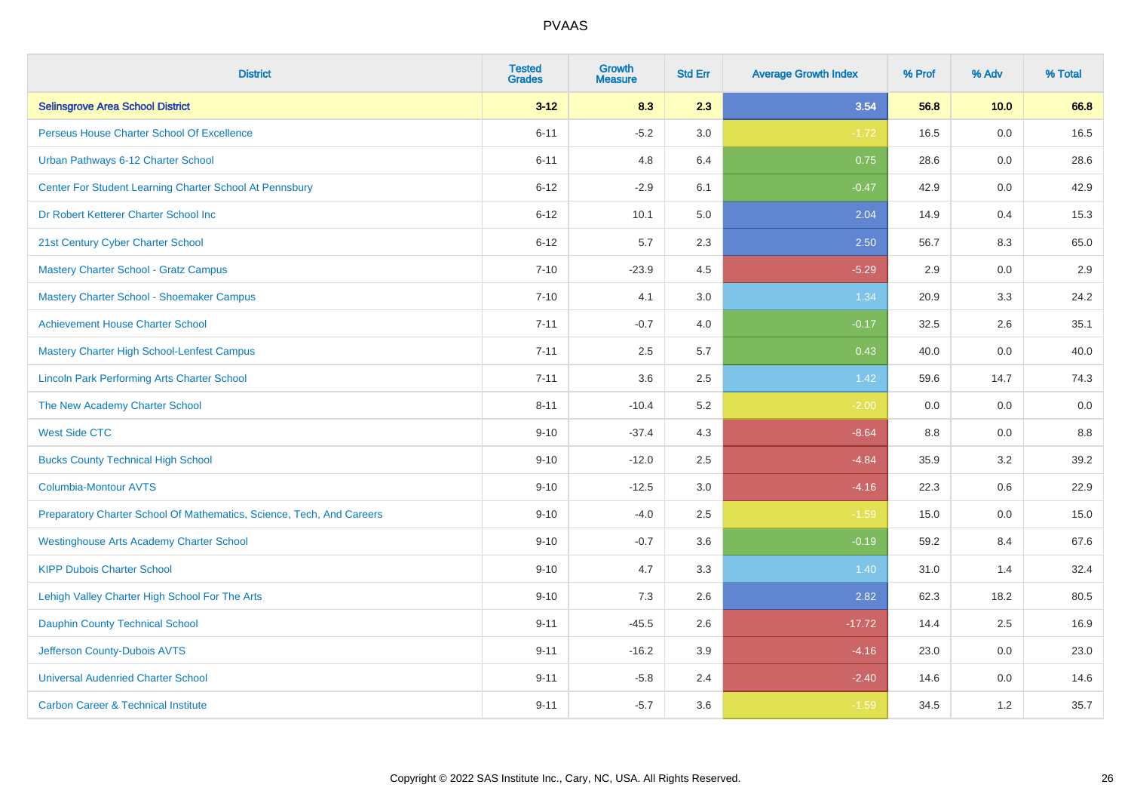| <b>District</b>                                                       | <b>Tested</b><br><b>Grades</b> | Growth<br><b>Measure</b> | <b>Std Err</b> | <b>Average Growth Index</b> | % Prof | % Adv | % Total |
|-----------------------------------------------------------------------|--------------------------------|--------------------------|----------------|-----------------------------|--------|-------|---------|
| <b>Selinsgrove Area School District</b>                               | $3 - 12$                       | 8.3                      | 2.3            | 3.54                        | 56.8   | 10.0  | 66.8    |
| Perseus House Charter School Of Excellence                            | $6 - 11$                       | $-5.2$                   | 3.0            | $-1.72$                     | 16.5   | 0.0   | 16.5    |
| Urban Pathways 6-12 Charter School                                    | $6 - 11$                       | 4.8                      | 6.4            | 0.75                        | 28.6   | 0.0   | 28.6    |
| Center For Student Learning Charter School At Pennsbury               | $6 - 12$                       | $-2.9$                   | 6.1            | $-0.47$                     | 42.9   | 0.0   | 42.9    |
| Dr Robert Ketterer Charter School Inc                                 | $6 - 12$                       | 10.1                     | 5.0            | 2.04                        | 14.9   | 0.4   | 15.3    |
| 21st Century Cyber Charter School                                     | $6 - 12$                       | 5.7                      | 2.3            | 2.50                        | 56.7   | 8.3   | 65.0    |
| Mastery Charter School - Gratz Campus                                 | $7 - 10$                       | $-23.9$                  | 4.5            | $-5.29$                     | 2.9    | 0.0   | 2.9     |
| Mastery Charter School - Shoemaker Campus                             | $7 - 10$                       | 4.1                      | 3.0            | 1.34                        | 20.9   | 3.3   | 24.2    |
| <b>Achievement House Charter School</b>                               | $7 - 11$                       | $-0.7$                   | 4.0            | $-0.17$                     | 32.5   | 2.6   | 35.1    |
| <b>Mastery Charter High School-Lenfest Campus</b>                     | $7 - 11$                       | 2.5                      | 5.7            | 0.43                        | 40.0   | 0.0   | 40.0    |
| <b>Lincoln Park Performing Arts Charter School</b>                    | $7 - 11$                       | 3.6                      | 2.5            | 1.42                        | 59.6   | 14.7  | 74.3    |
| The New Academy Charter School                                        | $8 - 11$                       | $-10.4$                  | 5.2            | $-2.00$                     | 0.0    | 0.0   | 0.0     |
| <b>West Side CTC</b>                                                  | $9 - 10$                       | $-37.4$                  | 4.3            | $-8.64$                     | 8.8    | 0.0   | 8.8     |
| <b>Bucks County Technical High School</b>                             | $9 - 10$                       | $-12.0$                  | 2.5            | $-4.84$                     | 35.9   | 3.2   | 39.2    |
| <b>Columbia-Montour AVTS</b>                                          | $9 - 10$                       | $-12.5$                  | 3.0            | $-4.16$                     | 22.3   | 0.6   | 22.9    |
| Preparatory Charter School Of Mathematics, Science, Tech, And Careers | $9 - 10$                       | $-4.0$                   | 2.5            | $-1.59$                     | 15.0   | 0.0   | 15.0    |
| <b>Westinghouse Arts Academy Charter School</b>                       | $9 - 10$                       | $-0.7$                   | 3.6            | $-0.19$                     | 59.2   | 8.4   | 67.6    |
| <b>KIPP Dubois Charter School</b>                                     | $9 - 10$                       | 4.7                      | 3.3            | 1.40                        | 31.0   | 1.4   | 32.4    |
| Lehigh Valley Charter High School For The Arts                        | $9 - 10$                       | 7.3                      | 2.6            | 2.82                        | 62.3   | 18.2  | 80.5    |
| <b>Dauphin County Technical School</b>                                | $9 - 11$                       | $-45.5$                  | 2.6            | $-17.72$                    | 14.4   | 2.5   | 16.9    |
| Jefferson County-Dubois AVTS                                          | $9 - 11$                       | $-16.2$                  | 3.9            | $-4.16$                     | 23.0   | 0.0   | 23.0    |
| <b>Universal Audenried Charter School</b>                             | $9 - 11$                       | $-5.8$                   | 2.4            | $-2.40$                     | 14.6   | 0.0   | 14.6    |
| <b>Carbon Career &amp; Technical Institute</b>                        | $9 - 11$                       | $-5.7$                   | 3.6            | $-1.59$                     | 34.5   | 1.2   | 35.7    |